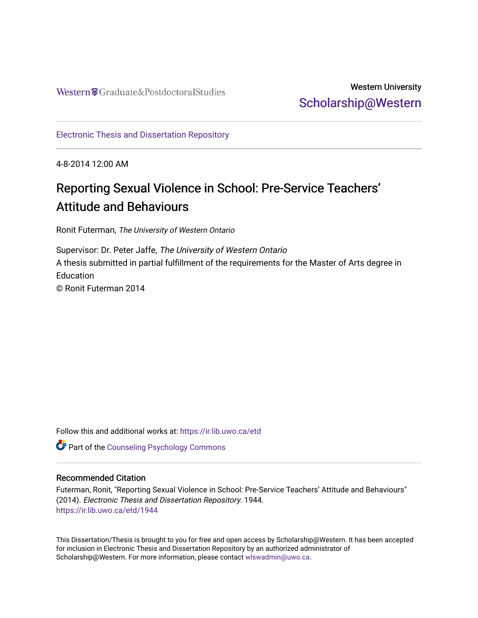## Western University [Scholarship@Western](https://ir.lib.uwo.ca/)

[Electronic Thesis and Dissertation Repository](https://ir.lib.uwo.ca/etd)

4-8-2014 12:00 AM

# Reporting Sexual Violence in School: Pre-Service Teachers' Attitude and Behaviours

Ronit Futerman, The University of Western Ontario

Supervisor: Dr. Peter Jaffe, The University of Western Ontario A thesis submitted in partial fulfillment of the requirements for the Master of Arts degree in **Education** © Ronit Futerman 2014

Follow this and additional works at: [https://ir.lib.uwo.ca/etd](https://ir.lib.uwo.ca/etd?utm_source=ir.lib.uwo.ca%2Fetd%2F1944&utm_medium=PDF&utm_campaign=PDFCoverPages) 

Part of the [Counseling Psychology Commons](http://network.bepress.com/hgg/discipline/1044?utm_source=ir.lib.uwo.ca%2Fetd%2F1944&utm_medium=PDF&utm_campaign=PDFCoverPages) 

#### Recommended Citation

Futerman, Ronit, "Reporting Sexual Violence in School: Pre-Service Teachers' Attitude and Behaviours" (2014). Electronic Thesis and Dissertation Repository. 1944. [https://ir.lib.uwo.ca/etd/1944](https://ir.lib.uwo.ca/etd/1944?utm_source=ir.lib.uwo.ca%2Fetd%2F1944&utm_medium=PDF&utm_campaign=PDFCoverPages)

This Dissertation/Thesis is brought to you for free and open access by Scholarship@Western. It has been accepted for inclusion in Electronic Thesis and Dissertation Repository by an authorized administrator of Scholarship@Western. For more information, please contact [wlswadmin@uwo.ca.](mailto:wlswadmin@uwo.ca)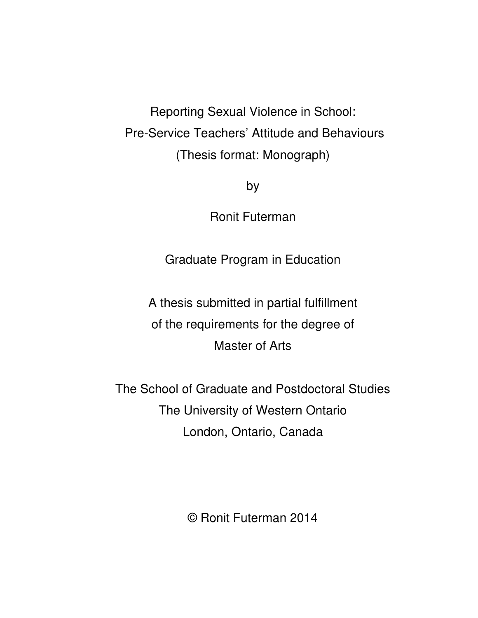Reporting Sexual Violence in School: Pre-Service Teachers' Attitude and Behaviours (Thesis format: Monograph)

by

Ronit Futerman

Graduate Program in Education

A thesis submitted in partial fulfillment of the requirements for the degree of Master of Arts

The School of Graduate and Postdoctoral Studies The University of Western Ontario London, Ontario, Canada

© Ronit Futerman 2014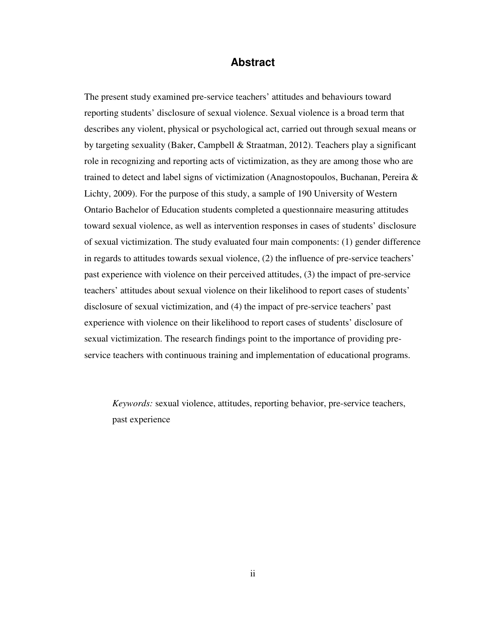#### **Abstract**

The present study examined pre-service teachers' attitudes and behaviours toward reporting students' disclosure of sexual violence. Sexual violence is a broad term that describes any violent, physical or psychological act, carried out through sexual means or by targeting sexuality (Baker, Campbell & Straatman, 2012). Teachers play a significant role in recognizing and reporting acts of victimization, as they are among those who are trained to detect and label signs of victimization (Anagnostopoulos, Buchanan, Pereira  $\&$ Lichty, 2009). For the purpose of this study, a sample of 190 University of Western Ontario Bachelor of Education students completed a questionnaire measuring attitudes toward sexual violence, as well as intervention responses in cases of students' disclosure of sexual victimization. The study evaluated four main components: (1) gender difference in regards to attitudes towards sexual violence, (2) the influence of pre-service teachers' past experience with violence on their perceived attitudes, (3) the impact of pre-service teachers' attitudes about sexual violence on their likelihood to report cases of students' disclosure of sexual victimization, and (4) the impact of pre-service teachers' past experience with violence on their likelihood to report cases of students' disclosure of sexual victimization. The research findings point to the importance of providing preservice teachers with continuous training and implementation of educational programs.

*Keywords:* sexual violence, attitudes, reporting behavior, pre-service teachers, past experience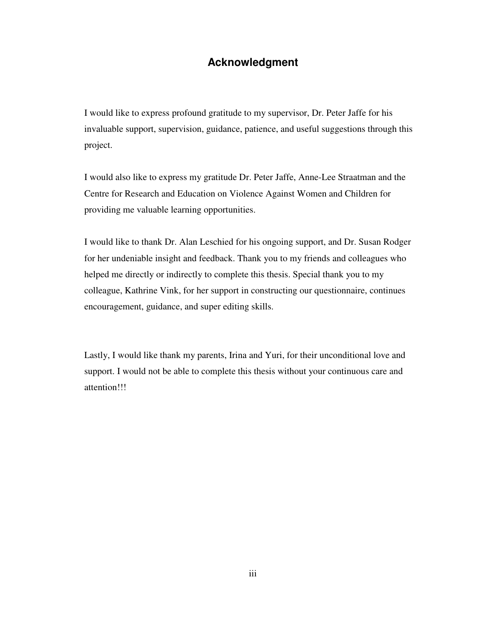## **Acknowledgment**

I would like to express profound gratitude to my supervisor, Dr. Peter Jaffe for his invaluable support, supervision, guidance, patience, and useful suggestions through this project.

I would also like to express my gratitude Dr. Peter Jaffe, Anne-Lee Straatman and the Centre for Research and Education on Violence Against Women and Children for providing me valuable learning opportunities.

I would like to thank Dr. Alan Leschied for his ongoing support, and Dr. Susan Rodger for her undeniable insight and feedback. Thank you to my friends and colleagues who helped me directly or indirectly to complete this thesis. Special thank you to my colleague, Kathrine Vink, for her support in constructing our questionnaire, continues encouragement, guidance, and super editing skills.

Lastly, I would like thank my parents, Irina and Yuri, for their unconditional love and support. I would not be able to complete this thesis without your continuous care and attention!!!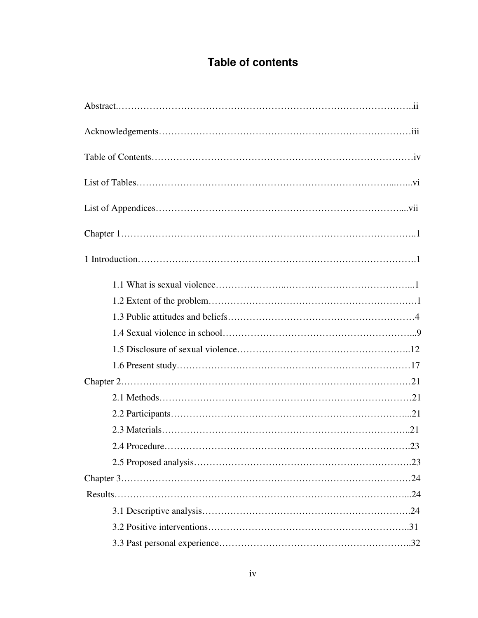# **Table of contents**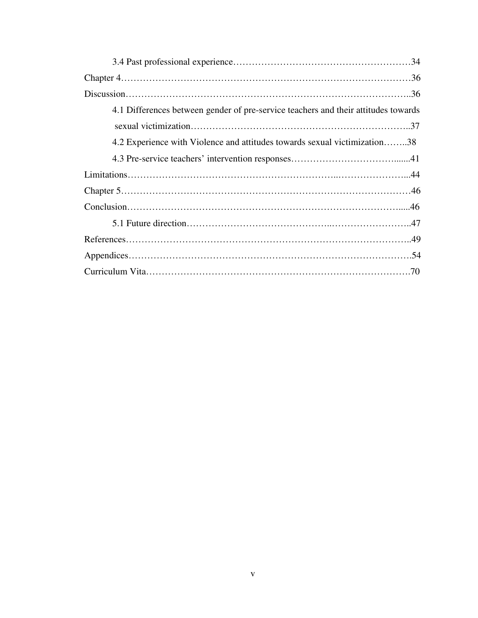| 4.1 Differences between gender of pre-service teachers and their attitudes towards |
|------------------------------------------------------------------------------------|
|                                                                                    |
| 4.2 Experience with Violence and attitudes towards sexual victimization38          |
|                                                                                    |
|                                                                                    |
|                                                                                    |
|                                                                                    |
|                                                                                    |
|                                                                                    |
|                                                                                    |
|                                                                                    |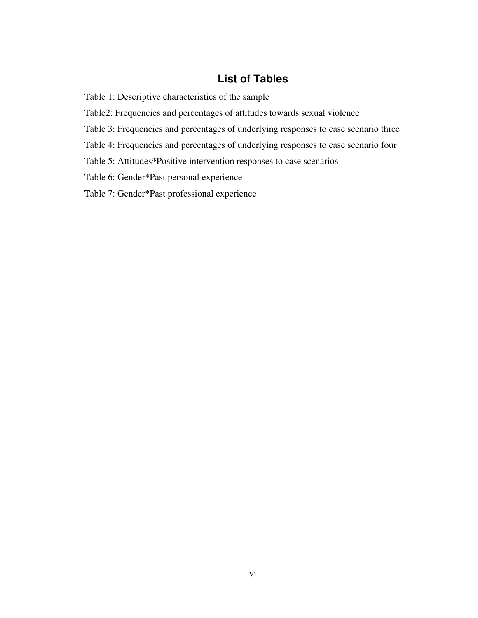## **List of Tables**

Table 1: Descriptive characteristics of the sample

Table2: Frequencies and percentages of attitudes towards sexual violence

Table 3: Frequencies and percentages of underlying responses to case scenario three

Table 4: Frequencies and percentages of underlying responses to case scenario four

Table 5: Attitudes\*Positive intervention responses to case scenarios

Table 6: Gender\*Past personal experience

Table 7: Gender\*Past professional experience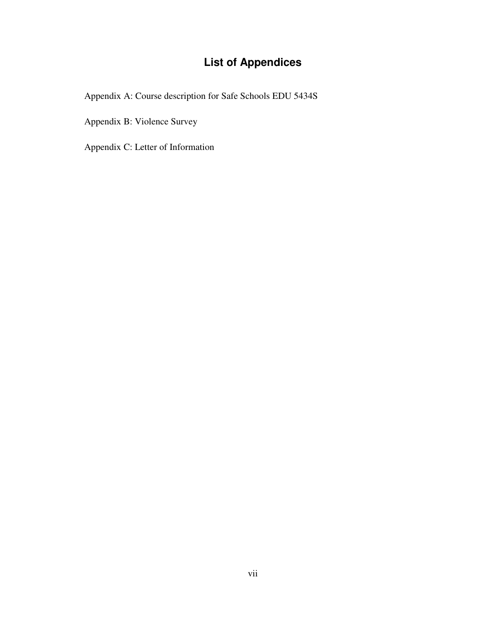## **List of Appendices**

Appendix A: Course description for Safe Schools EDU 5434S

Appendix B: Violence Survey

Appendix C: Letter of Information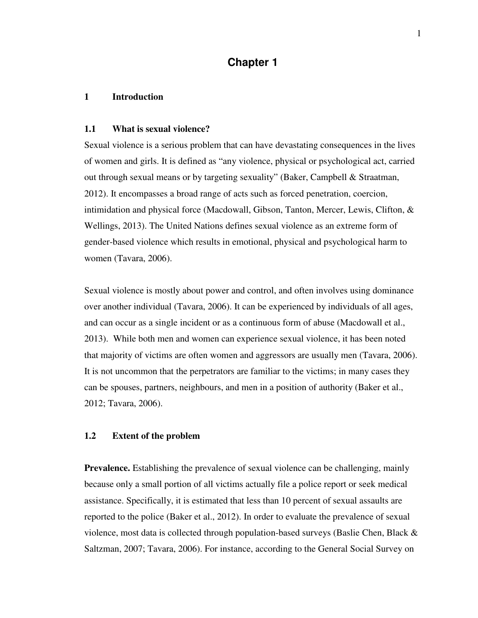## **Chapter 1**

#### **1 Introduction**

#### **1.1 What is sexual violence?**

Sexual violence is a serious problem that can have devastating consequences in the lives of women and girls. It is defined as "any violence, physical or psychological act, carried out through sexual means or by targeting sexuality" (Baker, Campbell & Straatman, 2012). It encompasses a broad range of acts such as forced penetration, coercion, intimidation and physical force (Macdowall, Gibson, Tanton, Mercer, Lewis, Clifton, & Wellings, 2013). The United Nations defines sexual violence as an extreme form of gender-based violence which results in emotional, physical and psychological harm to women (Tavara, 2006).

Sexual violence is mostly about power and control, and often involves using dominance over another individual (Tavara, 2006). It can be experienced by individuals of all ages, and can occur as a single incident or as a continuous form of abuse (Macdowall et al., 2013). While both men and women can experience sexual violence, it has been noted that majority of victims are often women and aggressors are usually men (Tavara, 2006). It is not uncommon that the perpetrators are familiar to the victims; in many cases they can be spouses, partners, neighbours, and men in a position of authority (Baker et al., 2012; Tavara, 2006).

#### **1.2 Extent of the problem**

**Prevalence.** Establishing the prevalence of sexual violence can be challenging, mainly because only a small portion of all victims actually file a police report or seek medical assistance. Specifically, it is estimated that less than 10 percent of sexual assaults are reported to the police (Baker et al., 2012). In order to evaluate the prevalence of sexual violence, most data is collected through population-based surveys (Baslie Chen, Black  $\&$ Saltzman, 2007; Tavara, 2006). For instance, according to the General Social Survey on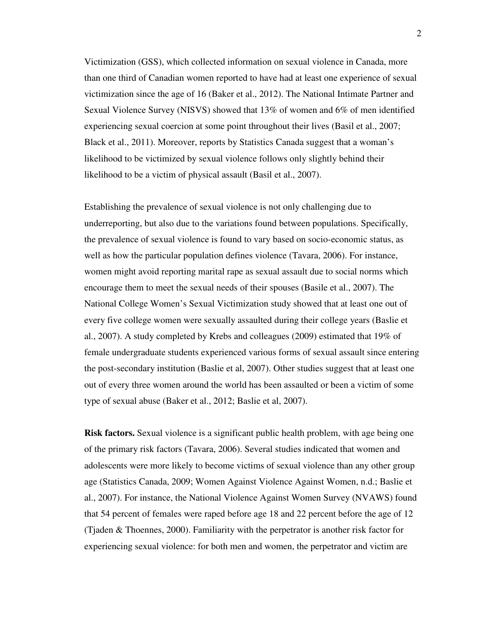Victimization (GSS), which collected information on sexual violence in Canada, more than one third of Canadian women reported to have had at least one experience of sexual victimization since the age of 16 (Baker et al., 2012). The National Intimate Partner and Sexual Violence Survey (NISVS) showed that 13% of women and 6% of men identified experiencing sexual coercion at some point throughout their lives (Basil et al., 2007; Black et al., 2011). Moreover, reports by Statistics Canada suggest that a woman's likelihood to be victimized by sexual violence follows only slightly behind their likelihood to be a victim of physical assault (Basil et al., 2007).

Establishing the prevalence of sexual violence is not only challenging due to underreporting, but also due to the variations found between populations. Specifically, the prevalence of sexual violence is found to vary based on socio-economic status, as well as how the particular population defines violence (Tavara, 2006). For instance, women might avoid reporting marital rape as sexual assault due to social norms which encourage them to meet the sexual needs of their spouses (Basile et al., 2007). The National College Women's Sexual Victimization study showed that at least one out of every five college women were sexually assaulted during their college years (Baslie et al., 2007). A study completed by Krebs and colleagues (2009) estimated that 19% of female undergraduate students experienced various forms of sexual assault since entering the post-secondary institution (Baslie et al, 2007). Other studies suggest that at least one out of every three women around the world has been assaulted or been a victim of some type of sexual abuse (Baker et al., 2012; Baslie et al, 2007).

**Risk factors.** Sexual violence is a significant public health problem, with age being one of the primary risk factors (Tavara, 2006). Several studies indicated that women and adolescents were more likely to become victims of sexual violence than any other group age (Statistics Canada, 2009; Women Against Violence Against Women, n.d.; Baslie et al., 2007). For instance, the National Violence Against Women Survey (NVAWS) found that 54 percent of females were raped before age 18 and 22 percent before the age of 12 (Tjaden & Thoennes, 2000). Familiarity with the perpetrator is another risk factor for experiencing sexual violence: for both men and women, the perpetrator and victim are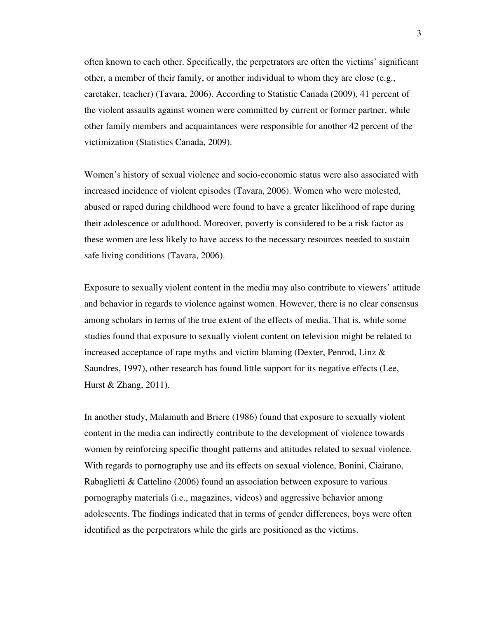often known to each other. Specifically, the perpetrators are often the victims' significant other, a member of their family, or another individual to whom they are close (e.g., caretaker, teacher) (Tavara, 2006). According to Statistic Canada (2009), 41 percent of the violent assaults against women were committed by current or former partner, while other family members and acquaintances were responsible for another 42 percent of the victimization (Statistics Canada, 2009).

Women's history of sexual violence and socio-economic status were also associated with increased incidence of violent episodes (Tavara, 2006). Women who were molested, abused or raped during childhood were found to have a greater likelihood of rape during their adolescence or adulthood. Moreover, poverty is considered to be a risk factor as these women are less likely to have access to the necessary resources needed to sustain safe living conditions (Tavara, 2006).

Exposure to sexually violent content in the media may also contribute to viewers' attitude and behavior in regards to violence against women. However, there is no clear consensus among scholars in terms of the true extent of the effects of media. That is, while some studies found that exposure to sexually violent content on television might be related to increased acceptance of rape myths and victim blaming (Dexter, Penrod, Linz  $\&$ Saundres, 1997), other research has found little support for its negative effects (Lee, Hurst & Zhang, 2011).

In another study, Malamuth and Briere (1986) found that exposure to sexually violent content in the media can indirectly contribute to the development of violence towards women by reinforcing specific thought patterns and attitudes related to sexual violence. With regards to pornography use and its effects on sexual violence, Bonini, Ciairano, Rabaglietti & Cattelino (2006) found an association between exposure to various pornography materials (i.e., magazines, videos) and aggressive behavior among adolescents. The findings indicated that in terms of gender differences, boys were often identified as the perpetrators while the girls are positioned as the victims.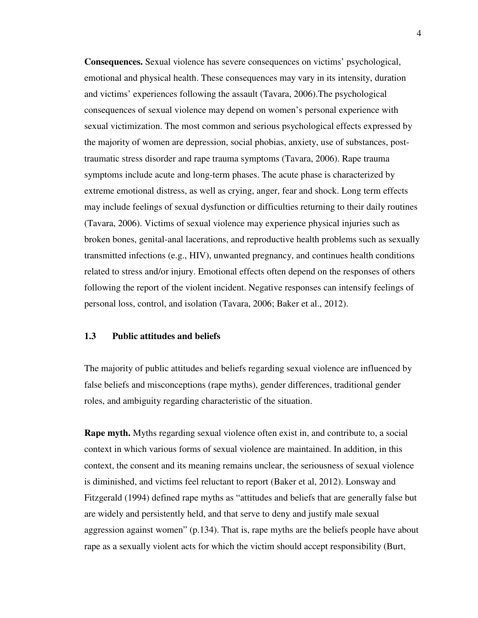**Consequences.** Sexual violence has severe consequences on victims' psychological, emotional and physical health. These consequences may vary in its intensity, duration and victims' experiences following the assault (Tavara, 2006).The psychological consequences of sexual violence may depend on women's personal experience with sexual victimization. The most common and serious psychological effects expressed by the majority of women are depression, social phobias, anxiety, use of substances, posttraumatic stress disorder and rape trauma symptoms (Tavara, 2006). Rape trauma symptoms include acute and long-term phases. The acute phase is characterized by extreme emotional distress, as well as crying, anger, fear and shock. Long term effects may include feelings of sexual dysfunction or difficulties returning to their daily routines (Tavara, 2006). Victims of sexual violence may experience physical injuries such as broken bones, genital-anal lacerations, and reproductive health problems such as sexually transmitted infections (e.g., HIV), unwanted pregnancy, and continues health conditions related to stress and/or injury. Emotional effects often depend on the responses of others following the report of the violent incident. Negative responses can intensify feelings of personal loss, control, and isolation (Tavara, 2006; Baker et al., 2012).

#### **1.3 Public attitudes and beliefs**

The majority of public attitudes and beliefs regarding sexual violence are influenced by false beliefs and misconceptions (rape myths), gender differences, traditional gender roles, and ambiguity regarding characteristic of the situation.

**Rape myth.** Myths regarding sexual violence often exist in, and contribute to, a social context in which various forms of sexual violence are maintained. In addition, in this context, the consent and its meaning remains unclear, the seriousness of sexual violence is diminished, and victims feel reluctant to report (Baker et al, 2012). Lonsway and Fitzgerald (1994) defined rape myths as "attitudes and beliefs that are generally false but are widely and persistently held, and that serve to deny and justify male sexual aggression against women" (p.134). That is, rape myths are the beliefs people have about rape as a sexually violent acts for which the victim should accept responsibility (Burt,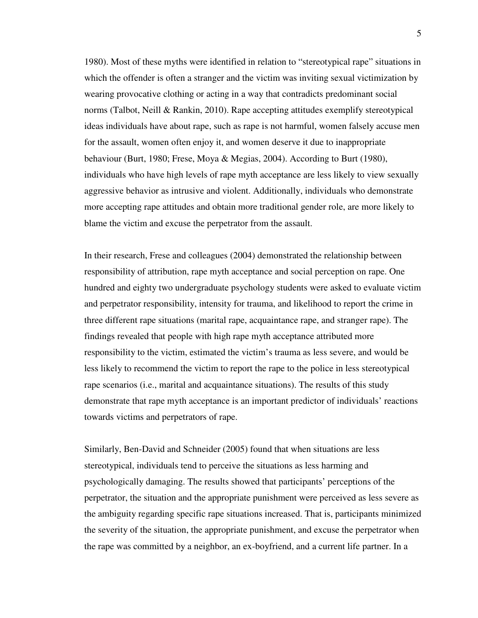1980). Most of these myths were identified in relation to "stereotypical rape" situations in which the offender is often a stranger and the victim was inviting sexual victimization by wearing provocative clothing or acting in a way that contradicts predominant social norms (Talbot, Neill & Rankin, 2010). Rape accepting attitudes exemplify stereotypical ideas individuals have about rape, such as rape is not harmful, women falsely accuse men for the assault, women often enjoy it, and women deserve it due to inappropriate behaviour (Burt, 1980; Frese, Moya & Megias, 2004). According to Burt (1980), individuals who have high levels of rape myth acceptance are less likely to view sexually aggressive behavior as intrusive and violent. Additionally, individuals who demonstrate more accepting rape attitudes and obtain more traditional gender role, are more likely to blame the victim and excuse the perpetrator from the assault.

In their research, Frese and colleagues (2004) demonstrated the relationship between responsibility of attribution, rape myth acceptance and social perception on rape. One hundred and eighty two undergraduate psychology students were asked to evaluate victim and perpetrator responsibility, intensity for trauma, and likelihood to report the crime in three different rape situations (marital rape, acquaintance rape, and stranger rape). The findings revealed that people with high rape myth acceptance attributed more responsibility to the victim, estimated the victim's trauma as less severe, and would be less likely to recommend the victim to report the rape to the police in less stereotypical rape scenarios (i.e., marital and acquaintance situations). The results of this study demonstrate that rape myth acceptance is an important predictor of individuals' reactions towards victims and perpetrators of rape.

Similarly, Ben-David and Schneider (2005) found that when situations are less stereotypical, individuals tend to perceive the situations as less harming and psychologically damaging. The results showed that participants' perceptions of the perpetrator, the situation and the appropriate punishment were perceived as less severe as the ambiguity regarding specific rape situations increased. That is, participants minimized the severity of the situation, the appropriate punishment, and excuse the perpetrator when the rape was committed by a neighbor, an ex-boyfriend, and a current life partner. In a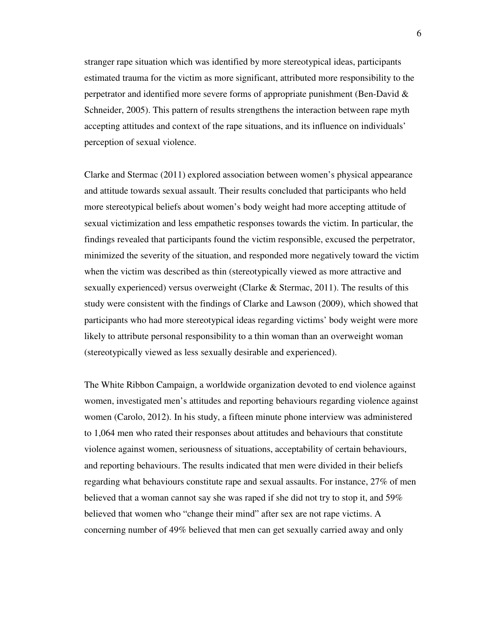stranger rape situation which was identified by more stereotypical ideas, participants estimated trauma for the victim as more significant, attributed more responsibility to the perpetrator and identified more severe forms of appropriate punishment (Ben-David & Schneider, 2005). This pattern of results strengthens the interaction between rape myth accepting attitudes and context of the rape situations, and its influence on individuals' perception of sexual violence.

Clarke and Stermac (2011) explored association between women's physical appearance and attitude towards sexual assault. Their results concluded that participants who held more stereotypical beliefs about women's body weight had more accepting attitude of sexual victimization and less empathetic responses towards the victim. In particular, the findings revealed that participants found the victim responsible, excused the perpetrator, minimized the severity of the situation, and responded more negatively toward the victim when the victim was described as thin (stereotypically viewed as more attractive and sexually experienced) versus overweight (Clarke & Stermac, 2011). The results of this study were consistent with the findings of Clarke and Lawson (2009), which showed that participants who had more stereotypical ideas regarding victims' body weight were more likely to attribute personal responsibility to a thin woman than an overweight woman (stereotypically viewed as less sexually desirable and experienced).

The White Ribbon Campaign, a worldwide organization devoted to end violence against women, investigated men's attitudes and reporting behaviours regarding violence against women (Carolo, 2012). In his study, a fifteen minute phone interview was administered to 1,064 men who rated their responses about attitudes and behaviours that constitute violence against women, seriousness of situations, acceptability of certain behaviours, and reporting behaviours. The results indicated that men were divided in their beliefs regarding what behaviours constitute rape and sexual assaults. For instance, 27% of men believed that a woman cannot say she was raped if she did not try to stop it, and 59% believed that women who "change their mind" after sex are not rape victims. A concerning number of 49% believed that men can get sexually carried away and only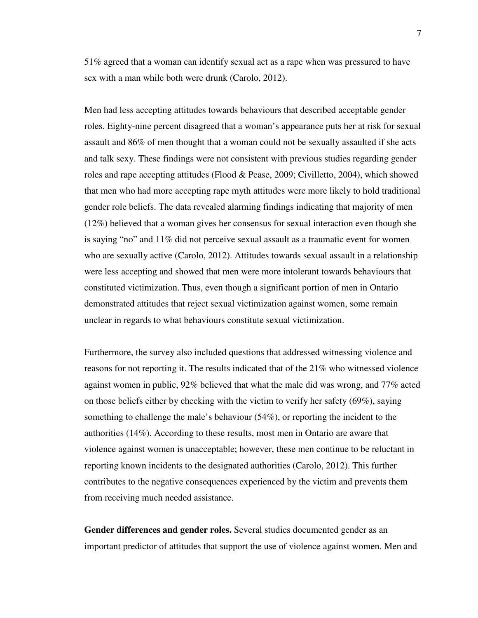51% agreed that a woman can identify sexual act as a rape when was pressured to have sex with a man while both were drunk (Carolo, 2012).

Men had less accepting attitudes towards behaviours that described acceptable gender roles. Eighty-nine percent disagreed that a woman's appearance puts her at risk for sexual assault and 86% of men thought that a woman could not be sexually assaulted if she acts and talk sexy. These findings were not consistent with previous studies regarding gender roles and rape accepting attitudes (Flood & Pease, 2009; Civilletto, 2004), which showed that men who had more accepting rape myth attitudes were more likely to hold traditional gender role beliefs. The data revealed alarming findings indicating that majority of men (12%) believed that a woman gives her consensus for sexual interaction even though she is saying "no" and 11% did not perceive sexual assault as a traumatic event for women who are sexually active (Carolo, 2012). Attitudes towards sexual assault in a relationship were less accepting and showed that men were more intolerant towards behaviours that constituted victimization. Thus, even though a significant portion of men in Ontario demonstrated attitudes that reject sexual victimization against women, some remain unclear in regards to what behaviours constitute sexual victimization.

Furthermore, the survey also included questions that addressed witnessing violence and reasons for not reporting it. The results indicated that of the 21% who witnessed violence against women in public, 92% believed that what the male did was wrong, and 77% acted on those beliefs either by checking with the victim to verify her safety (69%), saying something to challenge the male's behaviour (54%), or reporting the incident to the authorities (14%). According to these results, most men in Ontario are aware that violence against women is unacceptable; however, these men continue to be reluctant in reporting known incidents to the designated authorities (Carolo, 2012). This further contributes to the negative consequences experienced by the victim and prevents them from receiving much needed assistance.

**Gender differences and gender roles.** Several studies documented gender as an important predictor of attitudes that support the use of violence against women. Men and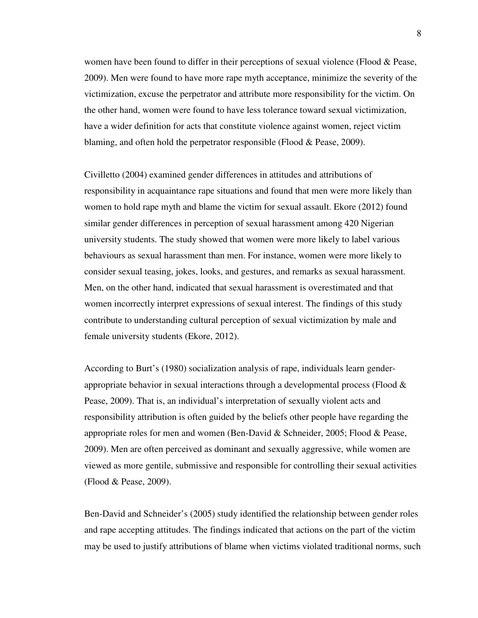women have been found to differ in their perceptions of sexual violence (Flood & Pease, 2009). Men were found to have more rape myth acceptance, minimize the severity of the victimization, excuse the perpetrator and attribute more responsibility for the victim. On the other hand, women were found to have less tolerance toward sexual victimization, have a wider definition for acts that constitute violence against women, reject victim blaming, and often hold the perpetrator responsible (Flood & Pease, 2009).

Civilletto (2004) examined gender differences in attitudes and attributions of responsibility in acquaintance rape situations and found that men were more likely than women to hold rape myth and blame the victim for sexual assault. Ekore (2012) found similar gender differences in perception of sexual harassment among 420 Nigerian university students. The study showed that women were more likely to label various behaviours as sexual harassment than men. For instance, women were more likely to consider sexual teasing, jokes, looks, and gestures, and remarks as sexual harassment. Men, on the other hand, indicated that sexual harassment is overestimated and that women incorrectly interpret expressions of sexual interest. The findings of this study contribute to understanding cultural perception of sexual victimization by male and female university students (Ekore, 2012).

According to Burt's (1980) socialization analysis of rape, individuals learn genderappropriate behavior in sexual interactions through a developmental process (Flood  $\&$ Pease, 2009). That is, an individual's interpretation of sexually violent acts and responsibility attribution is often guided by the beliefs other people have regarding the appropriate roles for men and women (Ben-David & Schneider, 2005; Flood & Pease, 2009). Men are often perceived as dominant and sexually aggressive, while women are viewed as more gentile, submissive and responsible for controlling their sexual activities (Flood & Pease, 2009).

Ben-David and Schneider's (2005) study identified the relationship between gender roles and rape accepting attitudes. The findings indicated that actions on the part of the victim may be used to justify attributions of blame when victims violated traditional norms, such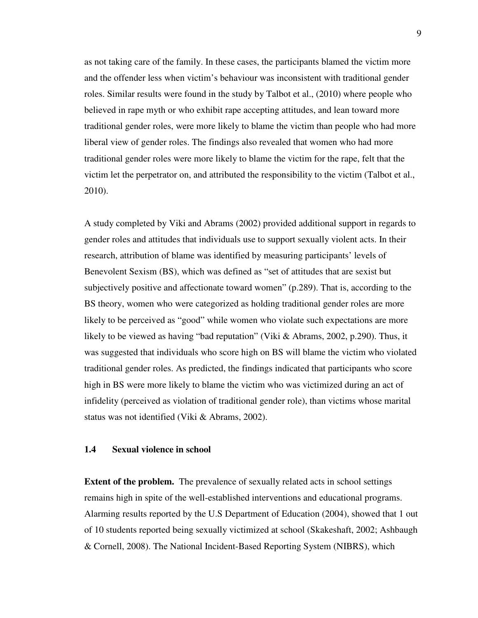as not taking care of the family. In these cases, the participants blamed the victim more and the offender less when victim's behaviour was inconsistent with traditional gender roles. Similar results were found in the study by Talbot et al., (2010) where people who believed in rape myth or who exhibit rape accepting attitudes, and lean toward more traditional gender roles, were more likely to blame the victim than people who had more liberal view of gender roles. The findings also revealed that women who had more traditional gender roles were more likely to blame the victim for the rape, felt that the victim let the perpetrator on, and attributed the responsibility to the victim (Talbot et al., 2010).

A study completed by Viki and Abrams (2002) provided additional support in regards to gender roles and attitudes that individuals use to support sexually violent acts. In their research, attribution of blame was identified by measuring participants' levels of Benevolent Sexism (BS), which was defined as "set of attitudes that are sexist but subjectively positive and affectionate toward women" (p.289). That is, according to the BS theory, women who were categorized as holding traditional gender roles are more likely to be perceived as "good" while women who violate such expectations are more likely to be viewed as having "bad reputation" (Viki & Abrams, 2002, p.290). Thus, it was suggested that individuals who score high on BS will blame the victim who violated traditional gender roles. As predicted, the findings indicated that participants who score high in BS were more likely to blame the victim who was victimized during an act of infidelity (perceived as violation of traditional gender role), than victims whose marital status was not identified (Viki & Abrams, 2002).

#### **1.4 Sexual violence in school**

**Extent of the problem.** The prevalence of sexually related acts in school settings remains high in spite of the well-established interventions and educational programs. Alarming results reported by the U.S Department of Education (2004), showed that 1 out of 10 students reported being sexually victimized at school (Skakeshaft, 2002; Ashbaugh & Cornell, 2008). The National Incident-Based Reporting System (NIBRS), which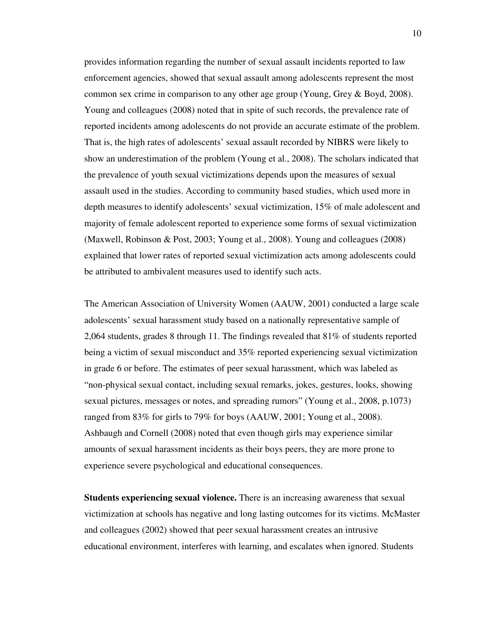provides information regarding the number of sexual assault incidents reported to law enforcement agencies, showed that sexual assault among adolescents represent the most common sex crime in comparison to any other age group (Young, Grey & Boyd, 2008). Young and colleagues (2008) noted that in spite of such records, the prevalence rate of reported incidents among adolescents do not provide an accurate estimate of the problem. That is, the high rates of adolescents' sexual assault recorded by NIBRS were likely to show an underestimation of the problem (Young et al., 2008). The scholars indicated that the prevalence of youth sexual victimizations depends upon the measures of sexual assault used in the studies. According to community based studies, which used more in depth measures to identify adolescents' sexual victimization, 15% of male adolescent and majority of female adolescent reported to experience some forms of sexual victimization (Maxwell, Robinson & Post, 2003; Young et al., 2008). Young and colleagues (2008) explained that lower rates of reported sexual victimization acts among adolescents could be attributed to ambivalent measures used to identify such acts.

The American Association of University Women (AAUW, 2001) conducted a large scale adolescents' sexual harassment study based on a nationally representative sample of 2,064 students, grades 8 through 11. The findings revealed that 81% of students reported being a victim of sexual misconduct and 35% reported experiencing sexual victimization in grade 6 or before. The estimates of peer sexual harassment, which was labeled as "non-physical sexual contact, including sexual remarks, jokes, gestures, looks, showing sexual pictures, messages or notes, and spreading rumors" (Young et al., 2008, p.1073) ranged from 83% for girls to 79% for boys (AAUW, 2001; Young et al., 2008). Ashbaugh and Cornell (2008) noted that even though girls may experience similar amounts of sexual harassment incidents as their boys peers, they are more prone to experience severe psychological and educational consequences.

**Students experiencing sexual violence.** There is an increasing awareness that sexual victimization at schools has negative and long lasting outcomes for its victims. McMaster and colleagues (2002) showed that peer sexual harassment creates an intrusive educational environment, interferes with learning, and escalates when ignored. Students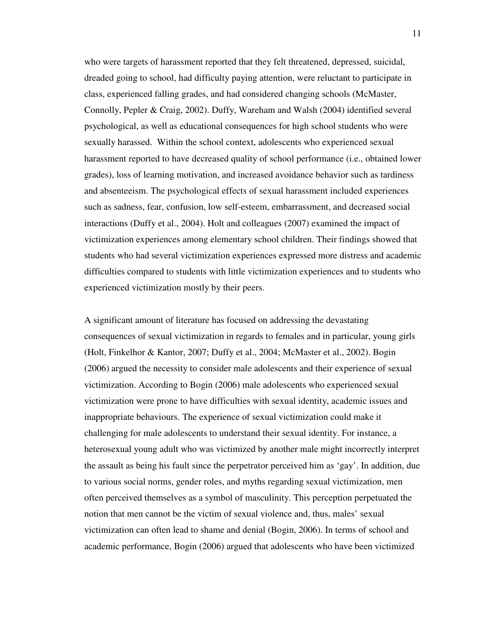who were targets of harassment reported that they felt threatened, depressed, suicidal, dreaded going to school, had difficulty paying attention, were reluctant to participate in class, experienced falling grades, and had considered changing schools (McMaster, Connolly, Pepler & Craig, 2002). Duffy, Wareham and Walsh (2004) identified several psychological, as well as educational consequences for high school students who were sexually harassed. Within the school context, adolescents who experienced sexual harassment reported to have decreased quality of school performance (i.e., obtained lower grades), loss of learning motivation, and increased avoidance behavior such as tardiness and absenteeism. The psychological effects of sexual harassment included experiences such as sadness, fear, confusion, low self-esteem, embarrassment, and decreased social interactions (Duffy et al., 2004). Holt and colleagues (2007) examined the impact of victimization experiences among elementary school children. Their findings showed that students who had several victimization experiences expressed more distress and academic difficulties compared to students with little victimization experiences and to students who experienced victimization mostly by their peers.

A significant amount of literature has focused on addressing the devastating consequences of sexual victimization in regards to females and in particular, young girls (Holt, Finkelhor & Kantor, 2007; Duffy et al., 2004; McMaster et al., 2002). Bogin (2006) argued the necessity to consider male adolescents and their experience of sexual victimization. According to Bogin (2006) male adolescents who experienced sexual victimization were prone to have difficulties with sexual identity, academic issues and inappropriate behaviours. The experience of sexual victimization could make it challenging for male adolescents to understand their sexual identity. For instance, a heterosexual young adult who was victimized by another male might incorrectly interpret the assault as being his fault since the perpetrator perceived him as 'gay'. In addition, due to various social norms, gender roles, and myths regarding sexual victimization, men often perceived themselves as a symbol of masculinity. This perception perpetuated the notion that men cannot be the victim of sexual violence and, thus, males' sexual victimization can often lead to shame and denial (Bogin, 2006). In terms of school and academic performance, Bogin (2006) argued that adolescents who have been victimized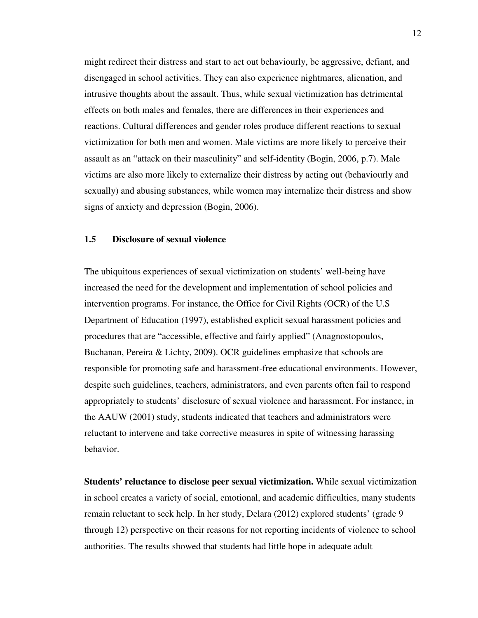might redirect their distress and start to act out behaviourly, be aggressive, defiant, and disengaged in school activities. They can also experience nightmares, alienation, and intrusive thoughts about the assault. Thus, while sexual victimization has detrimental effects on both males and females, there are differences in their experiences and reactions. Cultural differences and gender roles produce different reactions to sexual victimization for both men and women. Male victims are more likely to perceive their assault as an "attack on their masculinity" and self-identity (Bogin, 2006, p.7). Male victims are also more likely to externalize their distress by acting out (behaviourly and sexually) and abusing substances, while women may internalize their distress and show signs of anxiety and depression (Bogin, 2006).

#### **1.5 Disclosure of sexual violence**

The ubiquitous experiences of sexual victimization on students' well-being have increased the need for the development and implementation of school policies and intervention programs. For instance, the Office for Civil Rights (OCR) of the U.S Department of Education (1997), established explicit sexual harassment policies and procedures that are "accessible, effective and fairly applied" (Anagnostopoulos, Buchanan, Pereira & Lichty, 2009). OCR guidelines emphasize that schools are responsible for promoting safe and harassment-free educational environments. However, despite such guidelines, teachers, administrators, and even parents often fail to respond appropriately to students' disclosure of sexual violence and harassment. For instance, in the AAUW (2001) study, students indicated that teachers and administrators were reluctant to intervene and take corrective measures in spite of witnessing harassing behavior.

**Students' reluctance to disclose peer sexual victimization.** While sexual victimization in school creates a variety of social, emotional, and academic difficulties, many students remain reluctant to seek help. In her study, Delara (2012) explored students' (grade 9 through 12) perspective on their reasons for not reporting incidents of violence to school authorities. The results showed that students had little hope in adequate adult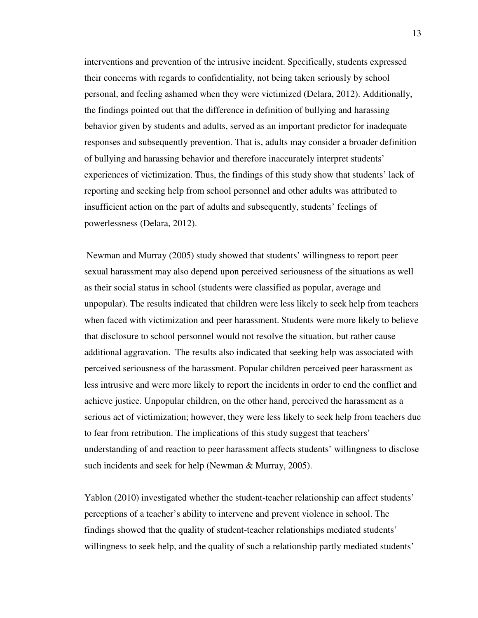interventions and prevention of the intrusive incident. Specifically, students expressed their concerns with regards to confidentiality, not being taken seriously by school personal, and feeling ashamed when they were victimized (Delara, 2012). Additionally, the findings pointed out that the difference in definition of bullying and harassing behavior given by students and adults, served as an important predictor for inadequate responses and subsequently prevention. That is, adults may consider a broader definition of bullying and harassing behavior and therefore inaccurately interpret students' experiences of victimization. Thus, the findings of this study show that students' lack of reporting and seeking help from school personnel and other adults was attributed to insufficient action on the part of adults and subsequently, students' feelings of powerlessness (Delara, 2012).

 Newman and Murray (2005) study showed that students' willingness to report peer sexual harassment may also depend upon perceived seriousness of the situations as well as their social status in school (students were classified as popular, average and unpopular). The results indicated that children were less likely to seek help from teachers when faced with victimization and peer harassment. Students were more likely to believe that disclosure to school personnel would not resolve the situation, but rather cause additional aggravation. The results also indicated that seeking help was associated with perceived seriousness of the harassment. Popular children perceived peer harassment as less intrusive and were more likely to report the incidents in order to end the conflict and achieve justice. Unpopular children, on the other hand, perceived the harassment as a serious act of victimization; however, they were less likely to seek help from teachers due to fear from retribution. The implications of this study suggest that teachers' understanding of and reaction to peer harassment affects students' willingness to disclose such incidents and seek for help (Newman & Murray, 2005).

Yablon (2010) investigated whether the student-teacher relationship can affect students' perceptions of a teacher's ability to intervene and prevent violence in school. The findings showed that the quality of student-teacher relationships mediated students' willingness to seek help, and the quality of such a relationship partly mediated students'

13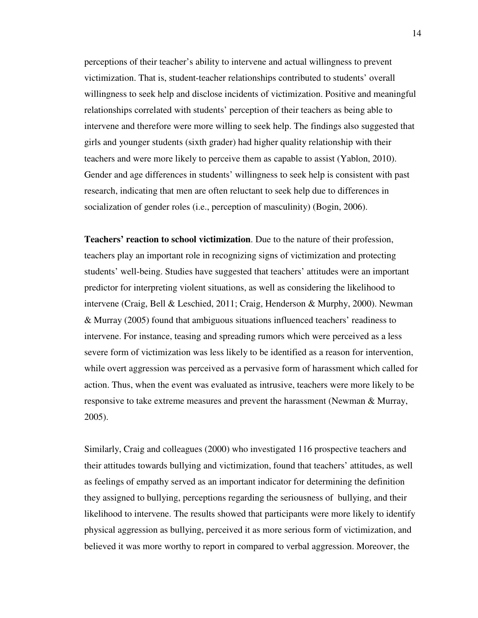perceptions of their teacher's ability to intervene and actual willingness to prevent victimization. That is, student-teacher relationships contributed to students' overall willingness to seek help and disclose incidents of victimization. Positive and meaningful relationships correlated with students' perception of their teachers as being able to intervene and therefore were more willing to seek help. The findings also suggested that girls and younger students (sixth grader) had higher quality relationship with their teachers and were more likely to perceive them as capable to assist (Yablon, 2010). Gender and age differences in students' willingness to seek help is consistent with past research, indicating that men are often reluctant to seek help due to differences in socialization of gender roles (i.e., perception of masculinity) (Bogin, 2006).

**Teachers' reaction to school victimization**. Due to the nature of their profession, teachers play an important role in recognizing signs of victimization and protecting students' well-being. Studies have suggested that teachers' attitudes were an important predictor for interpreting violent situations, as well as considering the likelihood to intervene (Craig, Bell & Leschied, 2011; Craig, Henderson & Murphy, 2000). Newman & Murray (2005) found that ambiguous situations influenced teachers' readiness to intervene. For instance, teasing and spreading rumors which were perceived as a less severe form of victimization was less likely to be identified as a reason for intervention, while overt aggression was perceived as a pervasive form of harassment which called for action. Thus, when the event was evaluated as intrusive, teachers were more likely to be responsive to take extreme measures and prevent the harassment (Newman & Murray, 2005).

Similarly, Craig and colleagues (2000) who investigated 116 prospective teachers and their attitudes towards bullying and victimization, found that teachers' attitudes, as well as feelings of empathy served as an important indicator for determining the definition they assigned to bullying, perceptions regarding the seriousness of bullying, and their likelihood to intervene. The results showed that participants were more likely to identify physical aggression as bullying, perceived it as more serious form of victimization, and believed it was more worthy to report in compared to verbal aggression. Moreover, the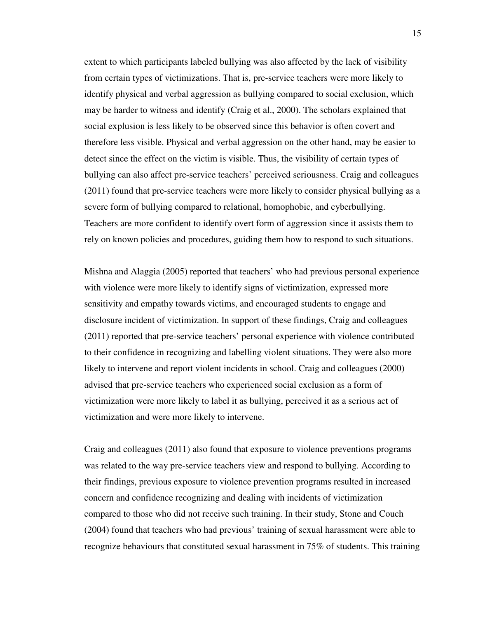extent to which participants labeled bullying was also affected by the lack of visibility from certain types of victimizations. That is, pre-service teachers were more likely to identify physical and verbal aggression as bullying compared to social exclusion, which may be harder to witness and identify (Craig et al., 2000). The scholars explained that social explusion is less likely to be observed since this behavior is often covert and therefore less visible. Physical and verbal aggression on the other hand, may be easier to detect since the effect on the victim is visible. Thus, the visibility of certain types of bullying can also affect pre-service teachers' perceived seriousness. Craig and colleagues (2011) found that pre-service teachers were more likely to consider physical bullying as a severe form of bullying compared to relational, homophobic, and cyberbullying. Teachers are more confident to identify overt form of aggression since it assists them to rely on known policies and procedures, guiding them how to respond to such situations.

Mishna and Alaggia (2005) reported that teachers' who had previous personal experience with violence were more likely to identify signs of victimization, expressed more sensitivity and empathy towards victims, and encouraged students to engage and disclosure incident of victimization. In support of these findings, Craig and colleagues (2011) reported that pre-service teachers' personal experience with violence contributed to their confidence in recognizing and labelling violent situations. They were also more likely to intervene and report violent incidents in school. Craig and colleagues (2000) advised that pre-service teachers who experienced social exclusion as a form of victimization were more likely to label it as bullying, perceived it as a serious act of victimization and were more likely to intervene.

Craig and colleagues (2011) also found that exposure to violence preventions programs was related to the way pre-service teachers view and respond to bullying. According to their findings, previous exposure to violence prevention programs resulted in increased concern and confidence recognizing and dealing with incidents of victimization compared to those who did not receive such training. In their study, Stone and Couch (2004) found that teachers who had previous' training of sexual harassment were able to recognize behaviours that constituted sexual harassment in 75% of students. This training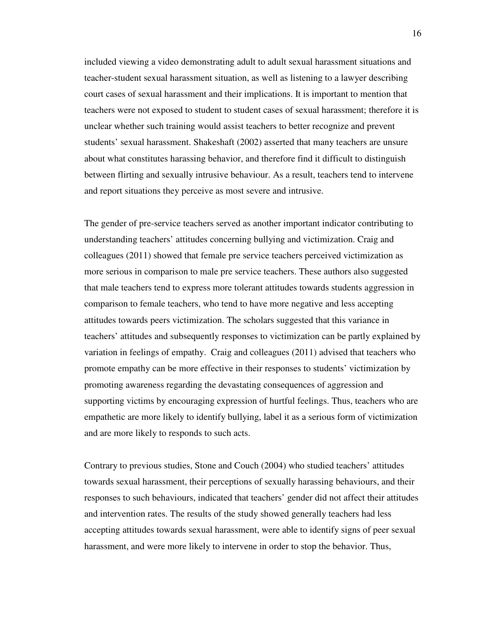included viewing a video demonstrating adult to adult sexual harassment situations and teacher-student sexual harassment situation, as well as listening to a lawyer describing court cases of sexual harassment and their implications. It is important to mention that teachers were not exposed to student to student cases of sexual harassment; therefore it is unclear whether such training would assist teachers to better recognize and prevent students' sexual harassment. Shakeshaft (2002) asserted that many teachers are unsure about what constitutes harassing behavior, and therefore find it difficult to distinguish between flirting and sexually intrusive behaviour. As a result, teachers tend to intervene and report situations they perceive as most severe and intrusive.

The gender of pre-service teachers served as another important indicator contributing to understanding teachers' attitudes concerning bullying and victimization. Craig and colleagues (2011) showed that female pre service teachers perceived victimization as more serious in comparison to male pre service teachers. These authors also suggested that male teachers tend to express more tolerant attitudes towards students aggression in comparison to female teachers, who tend to have more negative and less accepting attitudes towards peers victimization. The scholars suggested that this variance in teachers' attitudes and subsequently responses to victimization can be partly explained by variation in feelings of empathy. Craig and colleagues (2011) advised that teachers who promote empathy can be more effective in their responses to students' victimization by promoting awareness regarding the devastating consequences of aggression and supporting victims by encouraging expression of hurtful feelings. Thus, teachers who are empathetic are more likely to identify bullying, label it as a serious form of victimization and are more likely to responds to such acts.

Contrary to previous studies, Stone and Couch (2004) who studied teachers' attitudes towards sexual harassment, their perceptions of sexually harassing behaviours, and their responses to such behaviours, indicated that teachers' gender did not affect their attitudes and intervention rates. The results of the study showed generally teachers had less accepting attitudes towards sexual harassment, were able to identify signs of peer sexual harassment, and were more likely to intervene in order to stop the behavior. Thus,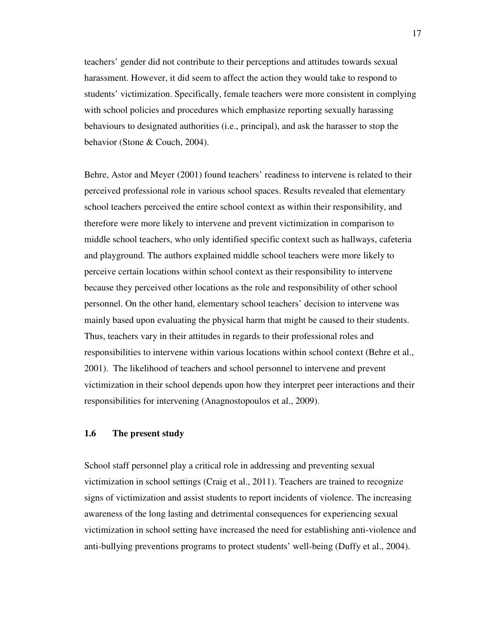teachers' gender did not contribute to their perceptions and attitudes towards sexual harassment. However, it did seem to affect the action they would take to respond to students' victimization. Specifically, female teachers were more consistent in complying with school policies and procedures which emphasize reporting sexually harassing behaviours to designated authorities (i.e., principal), and ask the harasser to stop the behavior (Stone & Couch, 2004).

Behre, Astor and Meyer (2001) found teachers' readiness to intervene is related to their perceived professional role in various school spaces. Results revealed that elementary school teachers perceived the entire school context as within their responsibility, and therefore were more likely to intervene and prevent victimization in comparison to middle school teachers, who only identified specific context such as hallways, cafeteria and playground. The authors explained middle school teachers were more likely to perceive certain locations within school context as their responsibility to intervene because they perceived other locations as the role and responsibility of other school personnel. On the other hand, elementary school teachers' decision to intervene was mainly based upon evaluating the physical harm that might be caused to their students. Thus, teachers vary in their attitudes in regards to their professional roles and responsibilities to intervene within various locations within school context (Behre et al., 2001). The likelihood of teachers and school personnel to intervene and prevent victimization in their school depends upon how they interpret peer interactions and their responsibilities for intervening (Anagnostopoulos et al., 2009).

#### **1.6 The present study**

School staff personnel play a critical role in addressing and preventing sexual victimization in school settings (Craig et al., 2011). Teachers are trained to recognize signs of victimization and assist students to report incidents of violence. The increasing awareness of the long lasting and detrimental consequences for experiencing sexual victimization in school setting have increased the need for establishing anti-violence and anti-bullying preventions programs to protect students' well-being (Duffy et al., 2004).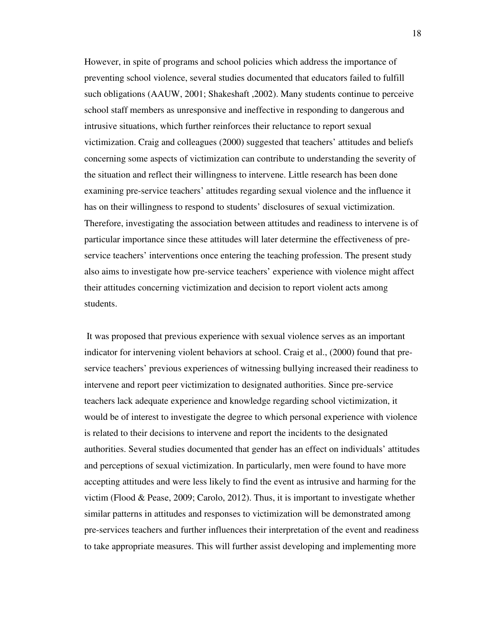However, in spite of programs and school policies which address the importance of preventing school violence, several studies documented that educators failed to fulfill such obligations (AAUW, 2001; Shakeshaft ,2002). Many students continue to perceive school staff members as unresponsive and ineffective in responding to dangerous and intrusive situations, which further reinforces their reluctance to report sexual victimization. Craig and colleagues (2000) suggested that teachers' attitudes and beliefs concerning some aspects of victimization can contribute to understanding the severity of the situation and reflect their willingness to intervene. Little research has been done examining pre-service teachers' attitudes regarding sexual violence and the influence it has on their willingness to respond to students' disclosures of sexual victimization. Therefore, investigating the association between attitudes and readiness to intervene is of particular importance since these attitudes will later determine the effectiveness of preservice teachers' interventions once entering the teaching profession. The present study also aims to investigate how pre-service teachers' experience with violence might affect their attitudes concerning victimization and decision to report violent acts among students.

 It was proposed that previous experience with sexual violence serves as an important indicator for intervening violent behaviors at school. Craig et al., (2000) found that preservice teachers' previous experiences of witnessing bullying increased their readiness to intervene and report peer victimization to designated authorities. Since pre-service teachers lack adequate experience and knowledge regarding school victimization, it would be of interest to investigate the degree to which personal experience with violence is related to their decisions to intervene and report the incidents to the designated authorities. Several studies documented that gender has an effect on individuals' attitudes and perceptions of sexual victimization. In particularly, men were found to have more accepting attitudes and were less likely to find the event as intrusive and harming for the victim (Flood & Pease, 2009; Carolo, 2012). Thus, it is important to investigate whether similar patterns in attitudes and responses to victimization will be demonstrated among pre-services teachers and further influences their interpretation of the event and readiness to take appropriate measures. This will further assist developing and implementing more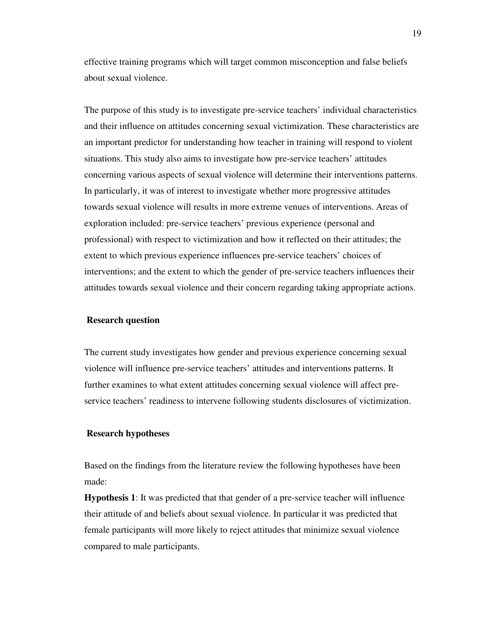effective training programs which will target common misconception and false beliefs about sexual violence.

The purpose of this study is to investigate pre-service teachers' individual characteristics and their influence on attitudes concerning sexual victimization. These characteristics are an important predictor for understanding how teacher in training will respond to violent situations. This study also aims to investigate how pre-service teachers' attitudes concerning various aspects of sexual violence will determine their interventions patterns. In particularly, it was of interest to investigate whether more progressive attitudes towards sexual violence will results in more extreme venues of interventions. Areas of exploration included: pre-service teachers' previous experience (personal and professional) with respect to victimization and how it reflected on their attitudes; the extent to which previous experience influences pre-service teachers' choices of interventions; and the extent to which the gender of pre-service teachers influences their attitudes towards sexual violence and their concern regarding taking appropriate actions.

#### **Research question**

The current study investigates how gender and previous experience concerning sexual violence will influence pre-service teachers' attitudes and interventions patterns. It further examines to what extent attitudes concerning sexual violence will affect preservice teachers' readiness to intervene following students disclosures of victimization.

#### **Research hypotheses**

Based on the findings from the literature review the following hypotheses have been made:

**Hypothesis 1**: It was predicted that that gender of a pre-service teacher will influence their attitude of and beliefs about sexual violence. In particular it was predicted that female participants will more likely to reject attitudes that minimize sexual violence compared to male participants.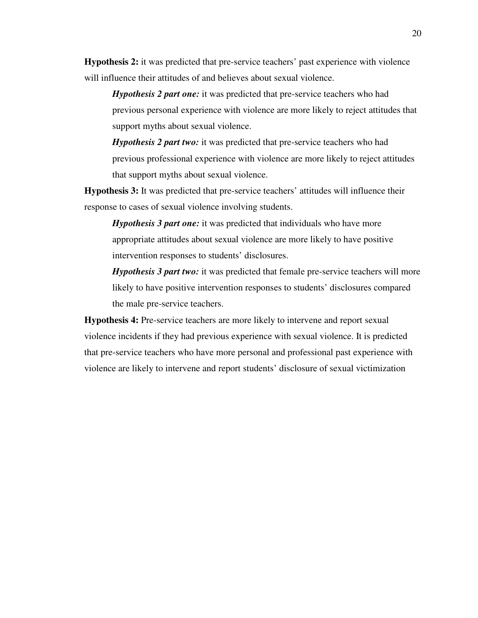**Hypothesis 2:** it was predicted that pre-service teachers' past experience with violence will influence their attitudes of and believes about sexual violence.

*Hypothesis 2 part one:* it was predicted that pre-service teachers who had previous personal experience with violence are more likely to reject attitudes that support myths about sexual violence.

*Hypothesis 2 part two:* it was predicted that pre-service teachers who had previous professional experience with violence are more likely to reject attitudes that support myths about sexual violence.

**Hypothesis 3:** It was predicted that pre-service teachers' attitudes will influence their response to cases of sexual violence involving students.

*Hypothesis 3 part one:* it was predicted that individuals who have more appropriate attitudes about sexual violence are more likely to have positive intervention responses to students' disclosures.

*Hypothesis 3 part two:* it was predicted that female pre-service teachers will more likely to have positive intervention responses to students' disclosures compared the male pre-service teachers.

**Hypothesis 4:** Pre-service teachers are more likely to intervene and report sexual violence incidents if they had previous experience with sexual violence. It is predicted that pre-service teachers who have more personal and professional past experience with violence are likely to intervene and report students' disclosure of sexual victimization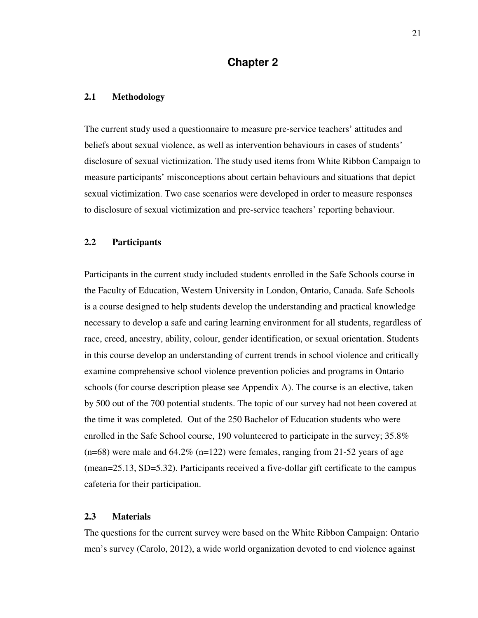### **Chapter 2**

#### **2.1 Methodology**

The current study used a questionnaire to measure pre-service teachers' attitudes and beliefs about sexual violence, as well as intervention behaviours in cases of students' disclosure of sexual victimization. The study used items from White Ribbon Campaign to measure participants' misconceptions about certain behaviours and situations that depict sexual victimization. Two case scenarios were developed in order to measure responses to disclosure of sexual victimization and pre-service teachers' reporting behaviour.

#### **2.2 Participants**

Participants in the current study included students enrolled in the Safe Schools course in the Faculty of Education, Western University in London, Ontario, Canada. Safe Schools is a course designed to help students develop the understanding and practical knowledge necessary to develop a safe and caring learning environment for all students, regardless of race, creed, ancestry, ability, colour, gender identification, or sexual orientation. Students in this course develop an understanding of current trends in school violence and critically examine comprehensive school violence prevention policies and programs in Ontario schools (for course description please see Appendix A). The course is an elective, taken by 500 out of the 700 potential students. The topic of our survey had not been covered at the time it was completed. Out of the 250 Bachelor of Education students who were enrolled in the Safe School course, 190 volunteered to participate in the survey; 35.8%  $(n=68)$  were male and  $64.2\%$   $(n=122)$  were females, ranging from 21-52 years of age (mean=25.13, SD=5.32). Participants received a five-dollar gift certificate to the campus cafeteria for their participation.

#### **2.3 Materials**

The questions for the current survey were based on the White Ribbon Campaign: Ontario men's survey (Carolo, 2012), a wide world organization devoted to end violence against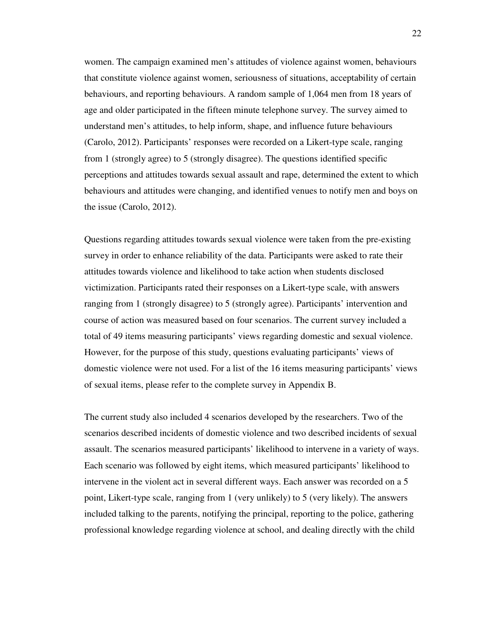women. The campaign examined men's attitudes of violence against women, behaviours that constitute violence against women, seriousness of situations, acceptability of certain behaviours, and reporting behaviours. A random sample of 1,064 men from 18 years of age and older participated in the fifteen minute telephone survey. The survey aimed to understand men's attitudes, to help inform, shape, and influence future behaviours (Carolo, 2012). Participants' responses were recorded on a Likert-type scale, ranging from 1 (strongly agree) to 5 (strongly disagree). The questions identified specific perceptions and attitudes towards sexual assault and rape, determined the extent to which behaviours and attitudes were changing, and identified venues to notify men and boys on the issue (Carolo, 2012).

Questions regarding attitudes towards sexual violence were taken from the pre-existing survey in order to enhance reliability of the data. Participants were asked to rate their attitudes towards violence and likelihood to take action when students disclosed victimization. Participants rated their responses on a Likert-type scale, with answers ranging from 1 (strongly disagree) to 5 (strongly agree). Participants' intervention and course of action was measured based on four scenarios. The current survey included a total of 49 items measuring participants' views regarding domestic and sexual violence. However, for the purpose of this study, questions evaluating participants' views of domestic violence were not used. For a list of the 16 items measuring participants' views of sexual items, please refer to the complete survey in Appendix B.

The current study also included 4 scenarios developed by the researchers. Two of the scenarios described incidents of domestic violence and two described incidents of sexual assault. The scenarios measured participants' likelihood to intervene in a variety of ways. Each scenario was followed by eight items, which measured participants' likelihood to intervene in the violent act in several different ways. Each answer was recorded on a 5 point, Likert-type scale, ranging from 1 (very unlikely) to 5 (very likely). The answers included talking to the parents, notifying the principal, reporting to the police, gathering professional knowledge regarding violence at school, and dealing directly with the child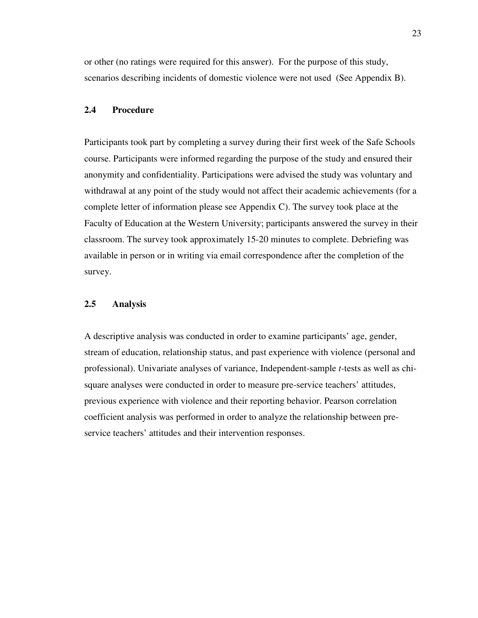or other (no ratings were required for this answer). For the purpose of this study, scenarios describing incidents of domestic violence were not used (See Appendix B).

#### **2.4 Procedure**

Participants took part by completing a survey during their first week of the Safe Schools course. Participants were informed regarding the purpose of the study and ensured their anonymity and confidentiality. Participations were advised the study was voluntary and withdrawal at any point of the study would not affect their academic achievements (for a complete letter of information please see Appendix C). The survey took place at the Faculty of Education at the Western University; participants answered the survey in their classroom. The survey took approximately 15-20 minutes to complete. Debriefing was available in person or in writing via email correspondence after the completion of the survey.

#### **2.5 Analysis**

A descriptive analysis was conducted in order to examine participants' age, gender, stream of education, relationship status, and past experience with violence (personal and professional). Univariate analyses of variance, Independent-sample *t-*tests as well as chisquare analyses were conducted in order to measure pre-service teachers' attitudes, previous experience with violence and their reporting behavior. Pearson correlation coefficient analysis was performed in order to analyze the relationship between preservice teachers' attitudes and their intervention responses.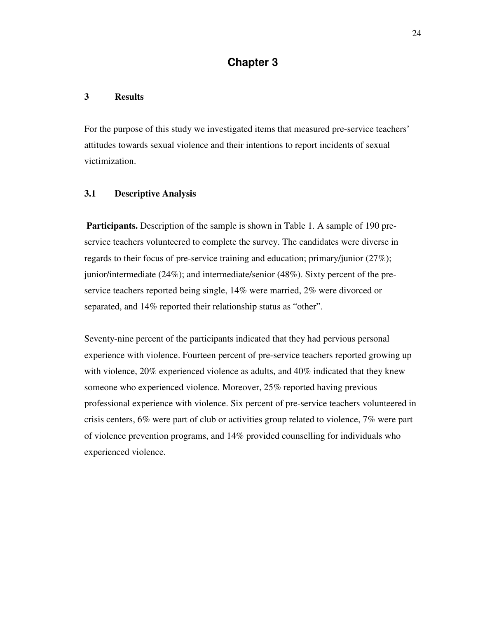## **Chapter 3**

#### **3 Results**

For the purpose of this study we investigated items that measured pre-service teachers' attitudes towards sexual violence and their intentions to report incidents of sexual victimization.

#### **3.1 Descriptive Analysis**

 **Participants.** Description of the sample is shown in Table 1. A sample of 190 preservice teachers volunteered to complete the survey. The candidates were diverse in regards to their focus of pre-service training and education; primary/junior (27%); junior/intermediate (24%); and intermediate/senior (48%). Sixty percent of the preservice teachers reported being single, 14% were married, 2% were divorced or separated, and 14% reported their relationship status as "other".

Seventy-nine percent of the participants indicated that they had pervious personal experience with violence. Fourteen percent of pre-service teachers reported growing up with violence, 20% experienced violence as adults, and 40% indicated that they knew someone who experienced violence. Moreover, 25% reported having previous professional experience with violence. Six percent of pre-service teachers volunteered in crisis centers, 6% were part of club or activities group related to violence, 7% were part of violence prevention programs, and 14% provided counselling for individuals who experienced violence.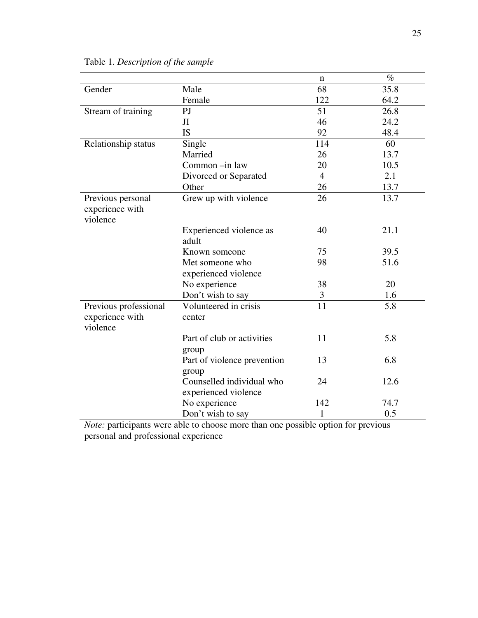|                       |                             | n              | $\%$ |
|-----------------------|-----------------------------|----------------|------|
| Gender                | Male                        | 68             | 35.8 |
|                       | Female                      | 122            | 64.2 |
| Stream of training    | P <sub>J</sub>              | 51             | 26.8 |
|                       | JI                          | 46             | 24.2 |
|                       | <b>IS</b>                   | 92             | 48.4 |
|                       |                             | 114            | 60   |
| Relationship status   | Single                      |                |      |
|                       | Married                     | 26             | 13.7 |
|                       | Common-in law               | 20             | 10.5 |
|                       | Divorced or Separated       | $\overline{4}$ | 2.1  |
|                       | Other                       | 26             | 13.7 |
| Previous personal     | Grew up with violence       | 26             | 13.7 |
| experience with       |                             |                |      |
| violence              |                             |                |      |
|                       | Experienced violence as     | 40             | 21.1 |
|                       | adult                       |                |      |
|                       | Known someone               | 75             | 39.5 |
|                       | Met someone who             | 98             | 51.6 |
|                       | experienced violence        |                |      |
|                       | No experience               | 38             | 20   |
|                       | Don't wish to say           | 3              | 1.6  |
| Previous professional | Volunteered in crisis       | 11             | 5.8  |
| experience with       | center                      |                |      |
| violence              |                             |                |      |
|                       | Part of club or activities  | 11             | 5.8  |
|                       | group                       |                |      |
|                       | Part of violence prevention | 13             | 6.8  |
|                       | group                       |                |      |
|                       | Counselled individual who   | 24             | 12.6 |
|                       | experienced violence        |                |      |
|                       | No experience               | 142            | 74.7 |
|                       | Don't wish to say           | 1              | 0.5  |
|                       |                             |                |      |

## Table 1. *Description of the sample*

*Note:* participants were able to choose more than one possible option for previous personal and professional experience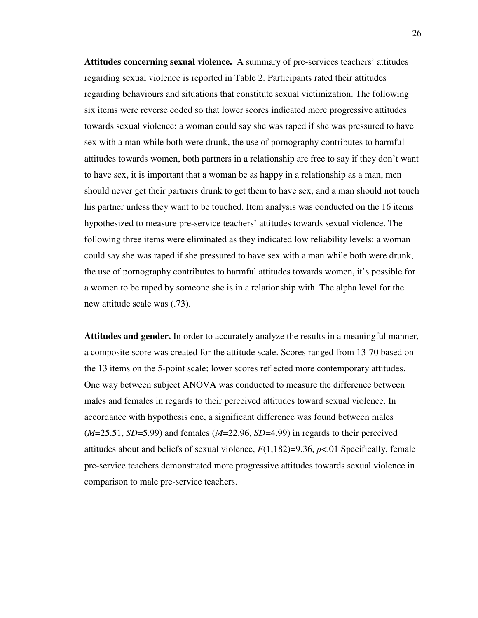**Attitudes concerning sexual violence.** A summary of pre-services teachers' attitudes regarding sexual violence is reported in Table 2. Participants rated their attitudes regarding behaviours and situations that constitute sexual victimization. The following six items were reverse coded so that lower scores indicated more progressive attitudes towards sexual violence: a woman could say she was raped if she was pressured to have sex with a man while both were drunk, the use of pornography contributes to harmful attitudes towards women, both partners in a relationship are free to say if they don't want to have sex, it is important that a woman be as happy in a relationship as a man, men should never get their partners drunk to get them to have sex, and a man should not touch his partner unless they want to be touched. Item analysis was conducted on the 16 items hypothesized to measure pre-service teachers' attitudes towards sexual violence. The following three items were eliminated as they indicated low reliability levels: a woman could say she was raped if she pressured to have sex with a man while both were drunk, the use of pornography contributes to harmful attitudes towards women, it's possible for a women to be raped by someone she is in a relationship with. The alpha level for the new attitude scale was (.73).

**Attitudes and gender.** In order to accurately analyze the results in a meaningful manner, a composite score was created for the attitude scale. Scores ranged from 13-70 based on the 13 items on the 5-point scale; lower scores reflected more contemporary attitudes. One way between subject ANOVA was conducted to measure the difference between males and females in regards to their perceived attitudes toward sexual violence. In accordance with hypothesis one, a significant difference was found between males (*M*=25.51, *SD*=5.99) and females (*M*=22.96, *SD*=4.99) in regards to their perceived attitudes about and beliefs of sexual violence, *F*(1,182)=9.36, *p*<.01 Specifically, female pre-service teachers demonstrated more progressive attitudes towards sexual violence in comparison to male pre-service teachers.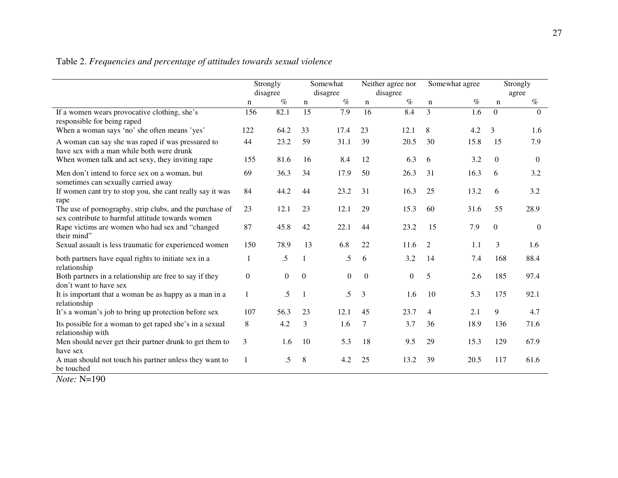#### Table 2. *Frequencies and percentage of attitudes towards sexual violence*

|                                                                                                              | Strongly<br>disagree |                | Somewhat<br>disagree |          | Neither agree nor<br>disagree |                  | Somewhat agree |      | Strongly<br>agree |                |
|--------------------------------------------------------------------------------------------------------------|----------------------|----------------|----------------------|----------|-------------------------------|------------------|----------------|------|-------------------|----------------|
|                                                                                                              | n                    | $\%$           | n                    | $\%$     | n                             | $\%$             | $\mathbf n$    | $\%$ | $\mathbf n$       | $\%$           |
| If a women wears provocative clothing, she's<br>responsible for being raped                                  | 156                  | 82.1           | $\overline{15}$      | 7.9      | $\overline{16}$               | 8.4              | $\overline{3}$ | 1.6  | $\Omega$          | $\Omega$       |
| When a woman says 'no' she often means 'yes'                                                                 | 122                  | 64.2           | 33                   | 17.4     | 23                            | 12.1             | 8              | 4.2  | 3                 | 1.6            |
| A woman can say she was raped if was pressured to<br>have sex with a man while both were drunk               | 44                   | 23.2           | 59                   | 31.1     | 39                            | 20.5             | 30             | 15.8 | 15                | 7.9            |
| When women talk and act sexy, they inviting rape                                                             | 155                  | 81.6           | 16                   | 8.4      | 12                            | 6.3              | 6              | 3.2  | $\Omega$          | $\theta$       |
| Men don't intend to force sex on a woman, but<br>sometimes can sexually carried away                         | 69                   | 36.3           | 34                   | 17.9     | 50                            | 26.3             | 31             | 16.3 | 6                 | 3.2            |
| If women cant try to stop you, she cant really say it was<br>rape                                            | 84                   | 44.2           | 44                   | 23.2     | 31                            | 16.3             | 25             | 13.2 | 6                 | 3.2            |
| The use of pornography, strip clubs, and the purchase of<br>sex contribute to harmful attitude towards women | 23                   | 12.1           | 23                   | 12.1     | 29                            | 15.3             | 60             | 31.6 | 55                | 28.9           |
| Rape victims are women who had sex and "changed<br>their mind"                                               | 87                   | 45.8           | 42                   | 22.1     | 44                            | 23.2             | 15             | 7.9  | $\overline{0}$    | $\overline{0}$ |
| Sexual assault is less traumatic for experienced women                                                       | 150                  | 78.9           | 13                   | 6.8      | 22                            | 11.6             | 2              | 1.1  | 3                 | 1.6            |
| both partners have equal rights to initiate sex in a<br>relationship                                         | 1                    | $.5\,$         | 1                    | .5       | 6                             | 3.2              | 14             | 7.4  | 168               | 88.4           |
| Both partners in a relationship are free to say if they<br>don't want to have sex                            | $\overline{0}$       | $\overline{0}$ | $\overline{0}$       | $\theta$ | $\boldsymbol{0}$              | $\boldsymbol{0}$ | 5              | 2.6  | 185               | 97.4           |
| It is important that a woman be as happy as a man in a<br>relationship                                       | $\mathbf{1}$         | $.5\,$         | $\overline{1}$       | .5       | 3                             | 1.6              | 10             | 5.3  | 175               | 92.1           |
| It's a woman's job to bring up protection before sex                                                         | 107                  | 56.3           | 23                   | 12.1     | 45                            | 23.7             | 4              | 2.1  | 9                 | 4.7            |
| Its possible for a woman to get raped she's in a sexual<br>relationship with                                 | 8                    | 4.2            | 3                    | 1.6      | 7                             | 3.7              | 36             | 18.9 | 136               | 71.6           |
| Men should never get their partner drunk to get them to<br>have sex                                          | 3                    | 1.6            | 10                   | 5.3      | 18                            | 9.5              | 29             | 15.3 | 129               | 67.9           |
| A man should not touch his partner unless they want to<br>be touched                                         |                      | .5             | 8                    | 4.2      | 25                            | 13.2             | 39             | 20.5 | 117               | 61.6           |

*Note:* N=190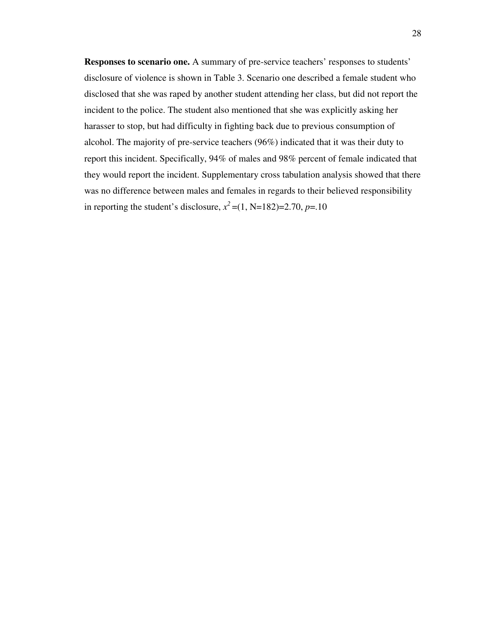**Responses to scenario one.** A summary of pre-service teachers' responses to students' disclosure of violence is shown in Table 3. Scenario one described a female student who disclosed that she was raped by another student attending her class, but did not report the incident to the police. The student also mentioned that she was explicitly asking her harasser to stop, but had difficulty in fighting back due to previous consumption of alcohol. The majority of pre-service teachers (96%) indicated that it was their duty to report this incident. Specifically, 94% of males and 98% percent of female indicated that they would report the incident. Supplementary cross tabulation analysis showed that there was no difference between males and females in regards to their believed responsibility in reporting the student's disclosure,  $x^2 = (1, N=182)=2.70, p=.10$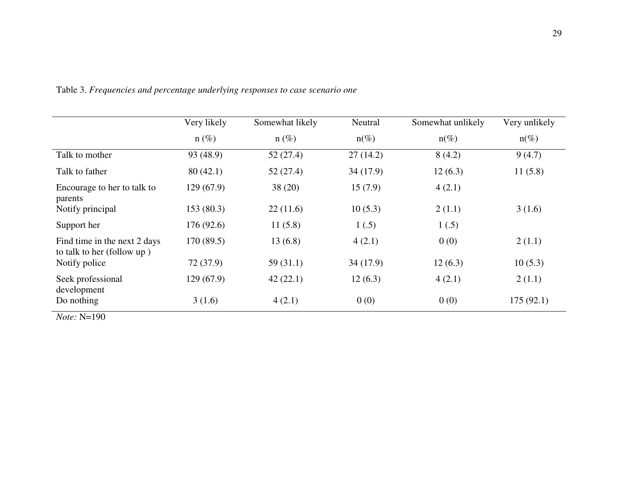|                                                            | Very likely | Somewhat likely | Neutral  | Somewhat unlikely | Very unlikely |
|------------------------------------------------------------|-------------|-----------------|----------|-------------------|---------------|
|                                                            | $n(\%)$     | $n(\%)$         | $n(\%)$  | $n(\%)$           | $n(\%)$       |
| Talk to mother                                             | 93 (48.9)   | 52(27.4)        | 27(14.2) | 8(4.2)            | 9(4.7)        |
| Talk to father                                             | 80(42.1)    | 52(27.4)        | 34(17.9) | 12(6.3)           | 11(5.8)       |
| Encourage to her to talk to<br>parents                     | 129(67.9)   | 38(20)          | 15(7.9)  | 4(2.1)            |               |
| Notify principal                                           | 153(80.3)   | 22(11.6)        | 10(5.3)  | 2(1.1)            | 3(1.6)        |
| Support her                                                | 176(92.6)   | 11(5.8)         | 1(.5)    | 1(.5)             |               |
| Find time in the next 2 days<br>to talk to her (follow up) | 170(89.5)   | 13(6.8)         | 4(2.1)   | 0(0)              | 2(1.1)        |
| Notify police                                              | 72 (37.9)   | 59(31.1)        | 34(17.9) | 12(6.3)           | 10(5.3)       |
| Seek professional<br>development                           | 129(67.9)   | 42(22.1)        | 12(6.3)  | 4(2.1)            | 2(1.1)        |
| Do nothing                                                 | 3(1.6)      | 4(2.1)          | 0(0)     | 0(0)              | 175(92.1)     |

Table 3. *Frequencies and percentage underlying responses to case scenario one* 

*Note:* N=190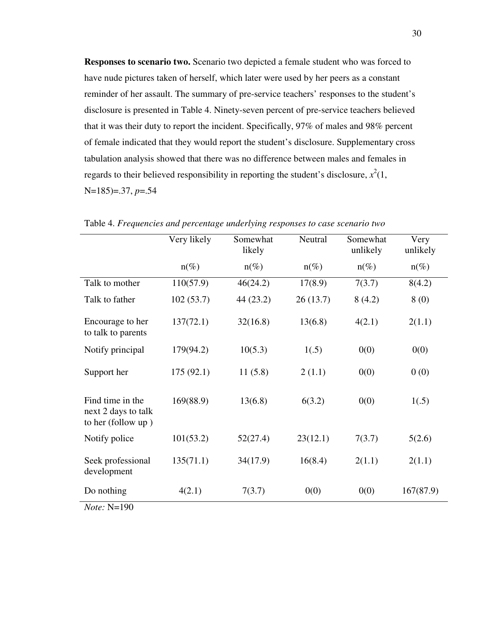**Responses to scenario two.** Scenario two depicted a female student who was forced to have nude pictures taken of herself, which later were used by her peers as a constant reminder of her assault. The summary of pre-service teachers' responses to the student's disclosure is presented in Table 4. Ninety-seven percent of pre-service teachers believed that it was their duty to report the incident. Specifically, 97% of males and 98% percent of female indicated that they would report the student's disclosure. Supplementary cross tabulation analysis showed that there was no difference between males and females in regards to their believed responsibility in reporting the student's disclosure,  $x^2(1)$ , N=185)=.37, *p*=.54

|                                                               | Very likely | Somewhat<br>likely | Neutral  | Somewhat<br>unlikely | Very<br>unlikely |
|---------------------------------------------------------------|-------------|--------------------|----------|----------------------|------------------|
|                                                               | $n(\%)$     | $n(\%)$            | $n(\%)$  | $n(\%)$              | $n(\%)$          |
| Talk to mother                                                | 110(57.9)   | 46(24.2)           | 17(8.9)  | 7(3.7)               | 8(4.2)           |
| Talk to father                                                | 102(53.7)   | 44 (23.2)          | 26(13.7) | 8(4.2)               | 8(0)             |
| Encourage to her<br>to talk to parents                        | 137(72.1)   | 32(16.8)           | 13(6.8)  | 4(2.1)               | 2(1.1)           |
| Notify principal                                              | 179(94.2)   | 10(5.3)            | 1(.5)    | 0(0)                 | 0(0)             |
| Support her                                                   | 175(92.1)   | 11(5.8)            | 2(1.1)   | 0(0)                 | 0(0)             |
| Find time in the<br>next 2 days to talk<br>to her (follow up) | 169(88.9)   | 13(6.8)            | 6(3.2)   | 0(0)                 | 1(.5)            |
| Notify police                                                 | 101(53.2)   | 52(27.4)           | 23(12.1) | 7(3.7)               | 5(2.6)           |
| Seek professional<br>development                              | 135(71.1)   | 34(17.9)           | 16(8.4)  | 2(1.1)               | 2(1.1)           |
| Do nothing                                                    | 4(2.1)      | 7(3.7)             | 0(0)     | 0(0)                 | 167(87.9)        |
| <i>Note:</i> N=190                                            |             |                    |          |                      |                  |

Table 4. *Frequencies and percentage underlying responses to case scenario two*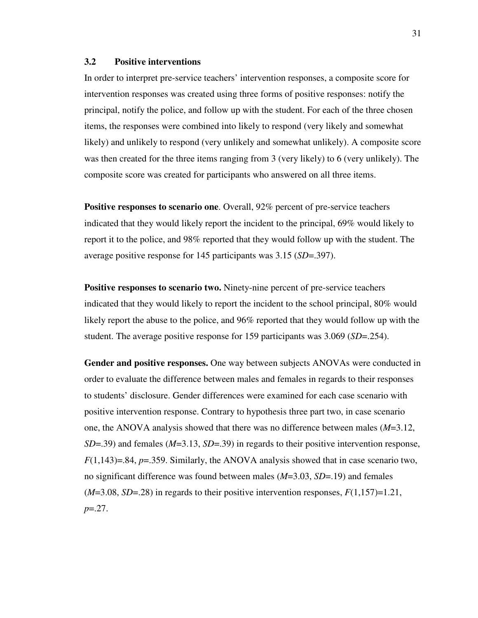## **3.2 Positive interventions**

In order to interpret pre-service teachers' intervention responses, a composite score for intervention responses was created using three forms of positive responses: notify the principal, notify the police, and follow up with the student. For each of the three chosen items, the responses were combined into likely to respond (very likely and somewhat likely) and unlikely to respond (very unlikely and somewhat unlikely). A composite score was then created for the three items ranging from 3 (very likely) to 6 (very unlikely). The composite score was created for participants who answered on all three items.

**Positive responses to scenario one**. Overall, 92% percent of pre-service teachers indicated that they would likely report the incident to the principal, 69% would likely to report it to the police, and 98% reported that they would follow up with the student. The average positive response for 145 participants was 3.15 (*SD*=.397).

**Positive responses to scenario two.** Ninety-nine percent of pre-service teachers indicated that they would likely to report the incident to the school principal, 80% would likely report the abuse to the police, and 96% reported that they would follow up with the student. The average positive response for 159 participants was 3.069 (*SD*=.254).

**Gender and positive responses.** One way between subjects ANOVAs were conducted in order to evaluate the difference between males and females in regards to their responses to students' disclosure. Gender differences were examined for each case scenario with positive intervention response. Contrary to hypothesis three part two, in case scenario one, the ANOVA analysis showed that there was no difference between males (*M*=3.12, *SD*=.39) and females (*M*=3.13, *SD*=.39) in regards to their positive intervention response, *F*(1,143)=.84, *p*=.359. Similarly, the ANOVA analysis showed that in case scenario two, no significant difference was found between males (*M*=3.03, *SD*=.19) and females  $(M=3.08, SD=.28)$  in regards to their positive intervention responses,  $F(1,157)=1.21$ , *p*=.27.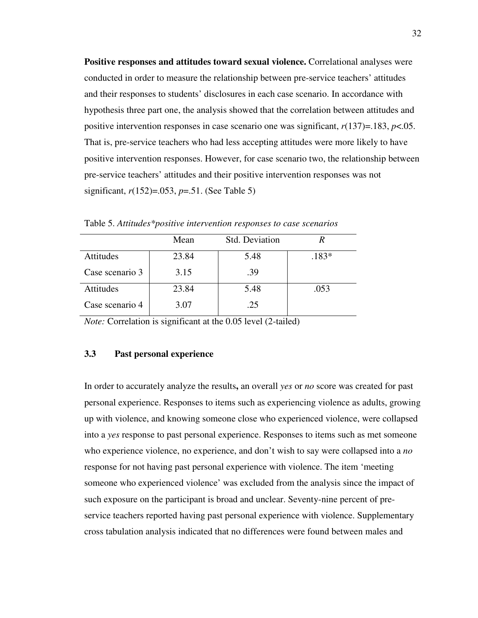**Positive responses and attitudes toward sexual violence.** Correlational analyses were conducted in order to measure the relationship between pre-service teachers' attitudes and their responses to students' disclosures in each case scenario. In accordance with hypothesis three part one, the analysis showed that the correlation between attitudes and positive intervention responses in case scenario one was significant, *r*(137)=.183, *p*<.05. That is, pre-service teachers who had less accepting attitudes were more likely to have positive intervention responses. However, for case scenario two, the relationship between pre-service teachers' attitudes and their positive intervention responses was not significant, *r*(152)=.053, *p*=.51. (See Table 5)

|                 | Mean  | Std. Deviation |         |
|-----------------|-------|----------------|---------|
| Attitudes       | 23.84 | 5.48           | $.183*$ |
| Case scenario 3 | 3.15  | .39            |         |
| Attitudes       | 23.84 | 5.48           | .053    |
| Case scenario 4 | 3.07  | .25            |         |

Table 5. *Attitudes\*positive intervention responses to case scenarios*

*Note:* Correlation is significant at the 0.05 level (2-tailed)

## **3.3 Past personal experience**

In order to accurately analyze the results**,** an overall *yes* or *no* score was created for past personal experience. Responses to items such as experiencing violence as adults, growing up with violence, and knowing someone close who experienced violence, were collapsed into a *yes* response to past personal experience. Responses to items such as met someone who experience violence, no experience, and don't wish to say were collapsed into a *no* response for not having past personal experience with violence. The item 'meeting someone who experienced violence' was excluded from the analysis since the impact of such exposure on the participant is broad and unclear. Seventy-nine percent of preservice teachers reported having past personal experience with violence. Supplementary cross tabulation analysis indicated that no differences were found between males and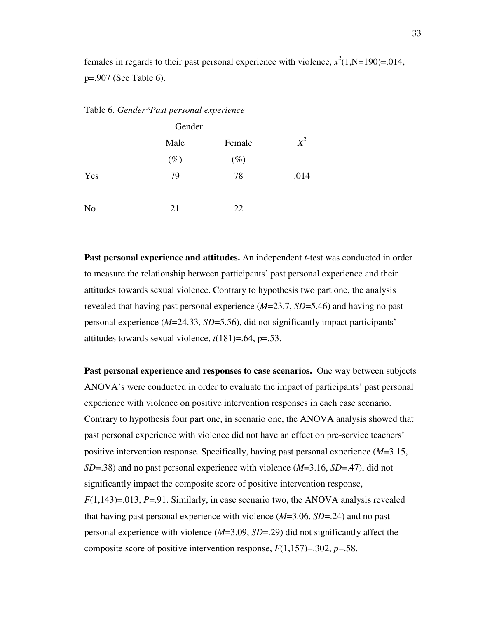females in regards to their past personal experience with violence,  $x^2(1, N=190)=0.014$ , p=.907 (See Table 6).

|     | Gender |        |       |
|-----|--------|--------|-------|
|     | Male   | Female | $X^2$ |
|     | $(\%)$ | $(\%)$ |       |
| Yes | 79     | 78     | .014  |
|     |        |        |       |
| No  | 21     | 22     |       |

Table 6. *Gender\*Past personal experience* 

**Past personal experience and attitudes.** An independent *t*-test was conducted in order to measure the relationship between participants' past personal experience and their attitudes towards sexual violence. Contrary to hypothesis two part one, the analysis revealed that having past personal experience (*M*=23.7, *SD*=5.46) and having no past personal experience (*M*=24.33, *SD*=5.56), did not significantly impact participants' attitudes towards sexual violence, *t*(181)=.64, p=.53.

**Past personal experience and responses to case scenarios.** One way between subjects ANOVA's were conducted in order to evaluate the impact of participants' past personal experience with violence on positive intervention responses in each case scenario. Contrary to hypothesis four part one, in scenario one, the ANOVA analysis showed that past personal experience with violence did not have an effect on pre-service teachers' positive intervention response. Specifically, having past personal experience (*M*=3.15, *SD*=.38) and no past personal experience with violence (*M*=3.16, *SD*=.47), did not significantly impact the composite score of positive intervention response, *F*(1,143)=.013, *P*=.91. Similarly, in case scenario two, the ANOVA analysis revealed that having past personal experience with violence (*M*=3.06, *SD*=.24) and no past personal experience with violence (*M*=3.09, *SD*=.29) did not significantly affect the composite score of positive intervention response, *F*(1,157)=.302, *p*=.58.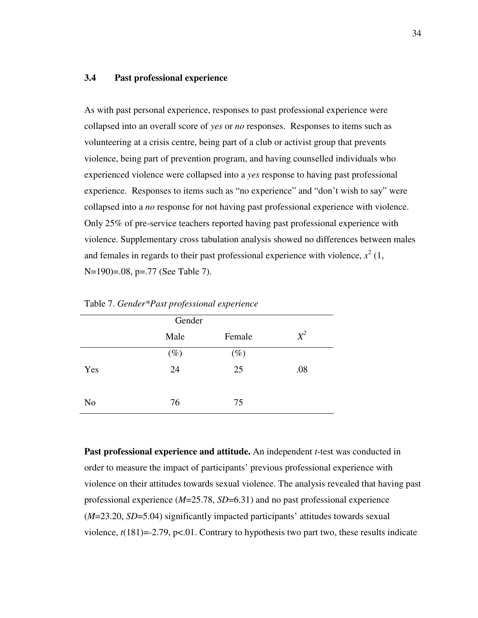### **3.4 Past professional experience**

As with past personal experience, responses to past professional experience were collapsed into an overall score of *yes* or *no* responses.Responses to items such as volunteering at a crisis centre, being part of a club or activist group that prevents violence, being part of prevention program, and having counselled individuals who experienced violence were collapsed into a *yes* response to having past professional experience. Responses to items such as "no experience" and "don't wish to say" were collapsed into a *no* response for not having past professional experience with violence. Only 25% of pre-service teachers reported having past professional experience with violence. Supplementary cross tabulation analysis showed no differences between males and females in regards to their past professional experience with violence,  $x^2(1)$ , N=190)=.08, p=.77 (See Table 7).

|                | Male   | Female | $X^2$ |
|----------------|--------|--------|-------|
|                | $(\%)$ | $(\%)$ |       |
| Yes            | 24     | 25     | .08   |
| N <sub>o</sub> | 76     | 75     |       |

Table 7. *Gender\*Past professional experience*

**Past professional experience and attitude.** An independent *t*-test was conducted in order to measure the impact of participants' previous professional experience with violence on their attitudes towards sexual violence. The analysis revealed that having past professional experience (*M*=25.78, *SD*=6.31) and no past professional experience (*M*=23.20, *SD*=5.04) significantly impacted participants' attitudes towards sexual violence, *t*(181)=-2.79, p<.01. Contrary to hypothesis two part two, these results indicate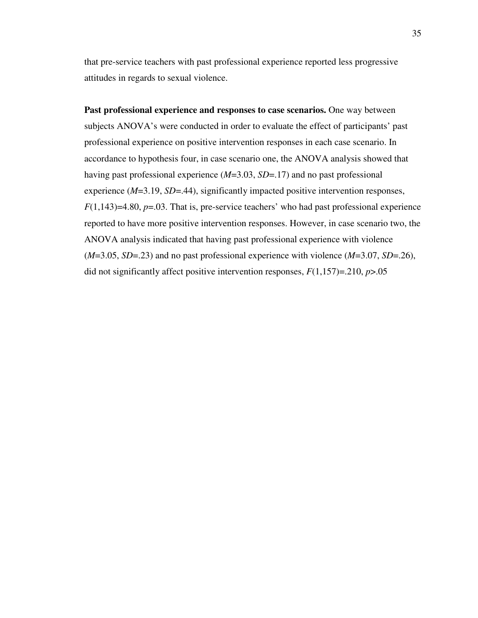that pre-service teachers with past professional experience reported less progressive attitudes in regards to sexual violence.

**Past professional experience and responses to case scenarios.** One way between subjects ANOVA's were conducted in order to evaluate the effect of participants' past professional experience on positive intervention responses in each case scenario. In accordance to hypothesis four, in case scenario one, the ANOVA analysis showed that having past professional experience (*M*=3.03, *SD*=.17) and no past professional experience (*M*=3.19, *SD*=.44), significantly impacted positive intervention responses,  $F(1,143)=4.80, p=.03$ . That is, pre-service teachers' who had past professional experience reported to have more positive intervention responses. However, in case scenario two, the ANOVA analysis indicated that having past professional experience with violence (*M*=3.05, *SD*=.23) and no past professional experience with violence (*M*=3.07, *SD*=.26), did not significantly affect positive intervention responses, *F*(1,157)=.210, *p*>.05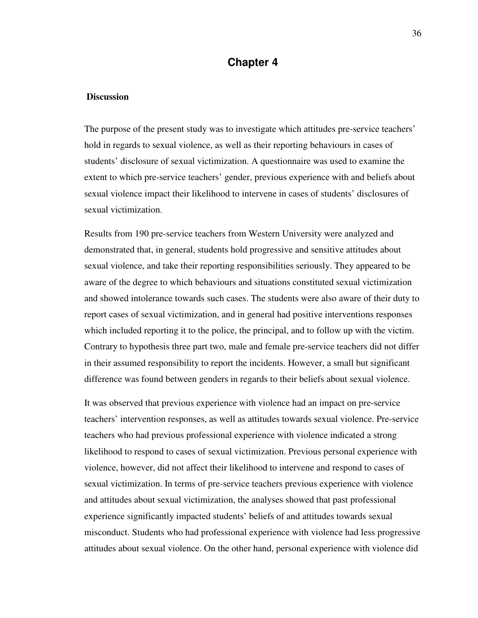## **Chapter 4**

#### **Discussion**

The purpose of the present study was to investigate which attitudes pre-service teachers' hold in regards to sexual violence, as well as their reporting behaviours in cases of students' disclosure of sexual victimization. A questionnaire was used to examine the extent to which pre-service teachers' gender, previous experience with and beliefs about sexual violence impact their likelihood to intervene in cases of students' disclosures of sexual victimization.

Results from 190 pre-service teachers from Western University were analyzed and demonstrated that, in general, students hold progressive and sensitive attitudes about sexual violence, and take their reporting responsibilities seriously. They appeared to be aware of the degree to which behaviours and situations constituted sexual victimization and showed intolerance towards such cases. The students were also aware of their duty to report cases of sexual victimization, and in general had positive interventions responses which included reporting it to the police, the principal, and to follow up with the victim. Contrary to hypothesis three part two, male and female pre-service teachers did not differ in their assumed responsibility to report the incidents. However, a small but significant difference was found between genders in regards to their beliefs about sexual violence.

It was observed that previous experience with violence had an impact on pre-service teachers' intervention responses, as well as attitudes towards sexual violence. Pre-service teachers who had previous professional experience with violence indicated a strong likelihood to respond to cases of sexual victimization. Previous personal experience with violence, however, did not affect their likelihood to intervene and respond to cases of sexual victimization. In terms of pre-service teachers previous experience with violence and attitudes about sexual victimization, the analyses showed that past professional experience significantly impacted students' beliefs of and attitudes towards sexual misconduct. Students who had professional experience with violence had less progressive attitudes about sexual violence. On the other hand, personal experience with violence did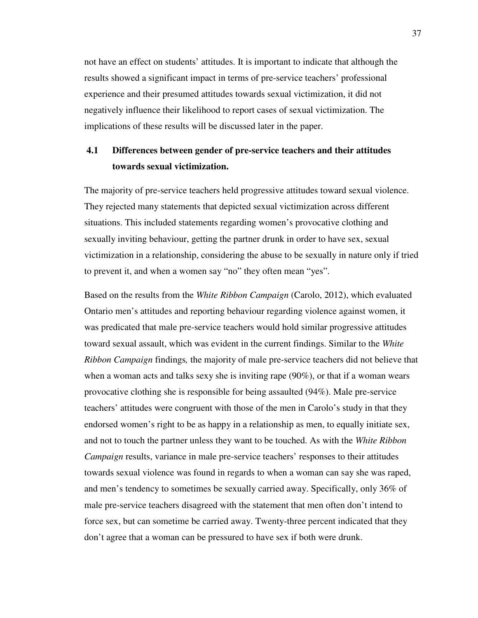not have an effect on students' attitudes. It is important to indicate that although the results showed a significant impact in terms of pre-service teachers' professional experience and their presumed attitudes towards sexual victimization, it did not negatively influence their likelihood to report cases of sexual victimization. The implications of these results will be discussed later in the paper.

# **4.1 Differences between gender of pre-service teachers and their attitudes towards sexual victimization.**

The majority of pre-service teachers held progressive attitudes toward sexual violence. They rejected many statements that depicted sexual victimization across different situations. This included statements regarding women's provocative clothing and sexually inviting behaviour, getting the partner drunk in order to have sex, sexual victimization in a relationship, considering the abuse to be sexually in nature only if tried to prevent it, and when a women say "no" they often mean "yes".

Based on the results from the *White Ribbon Campaign* (Carolo, 2012), which evaluated Ontario men's attitudes and reporting behaviour regarding violence against women, it was predicated that male pre-service teachers would hold similar progressive attitudes toward sexual assault, which was evident in the current findings. Similar to the *White Ribbon Campaign* findings*,* the majority of male pre-service teachers did not believe that when a woman acts and talks sexy she is inviting rape (90%), or that if a woman wears provocative clothing she is responsible for being assaulted (94%). Male pre-service teachers' attitudes were congruent with those of the men in Carolo's study in that they endorsed women's right to be as happy in a relationship as men, to equally initiate sex, and not to touch the partner unless they want to be touched. As with the *White Ribbon Campaign* results, variance in male pre-service teachers' responses to their attitudes towards sexual violence was found in regards to when a woman can say she was raped, and men's tendency to sometimes be sexually carried away. Specifically, only 36% of male pre-service teachers disagreed with the statement that men often don't intend to force sex, but can sometime be carried away. Twenty-three percent indicated that they don't agree that a woman can be pressured to have sex if both were drunk.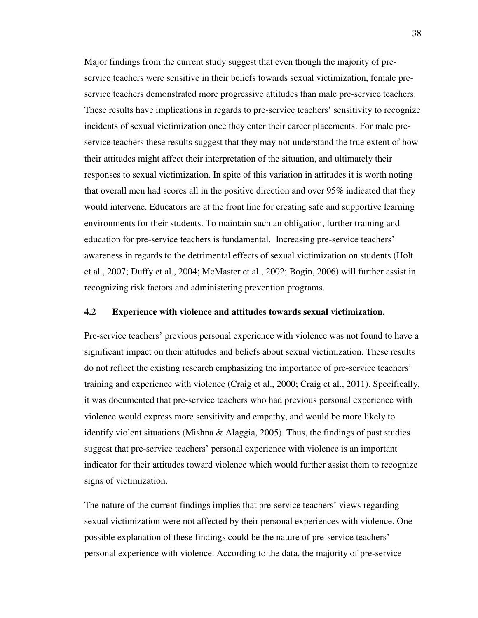Major findings from the current study suggest that even though the majority of preservice teachers were sensitive in their beliefs towards sexual victimization, female preservice teachers demonstrated more progressive attitudes than male pre-service teachers. These results have implications in regards to pre-service teachers' sensitivity to recognize incidents of sexual victimization once they enter their career placements. For male preservice teachers these results suggest that they may not understand the true extent of how their attitudes might affect their interpretation of the situation, and ultimately their responses to sexual victimization. In spite of this variation in attitudes it is worth noting that overall men had scores all in the positive direction and over 95% indicated that they would intervene. Educators are at the front line for creating safe and supportive learning environments for their students. To maintain such an obligation, further training and education for pre-service teachers is fundamental. Increasing pre-service teachers' awareness in regards to the detrimental effects of sexual victimization on students (Holt et al., 2007; Duffy et al., 2004; McMaster et al., 2002; Bogin, 2006) will further assist in recognizing risk factors and administering prevention programs.

#### **4.2 Experience with violence and attitudes towards sexual victimization.**

Pre-service teachers' previous personal experience with violence was not found to have a significant impact on their attitudes and beliefs about sexual victimization. These results do not reflect the existing research emphasizing the importance of pre-service teachers' training and experience with violence (Craig et al., 2000; Craig et al., 2011). Specifically, it was documented that pre-service teachers who had previous personal experience with violence would express more sensitivity and empathy, and would be more likely to identify violent situations (Mishna  $\&$  Alaggia, 2005). Thus, the findings of past studies suggest that pre-service teachers' personal experience with violence is an important indicator for their attitudes toward violence which would further assist them to recognize signs of victimization.

The nature of the current findings implies that pre-service teachers' views regarding sexual victimization were not affected by their personal experiences with violence. One possible explanation of these findings could be the nature of pre-service teachers' personal experience with violence. According to the data, the majority of pre-service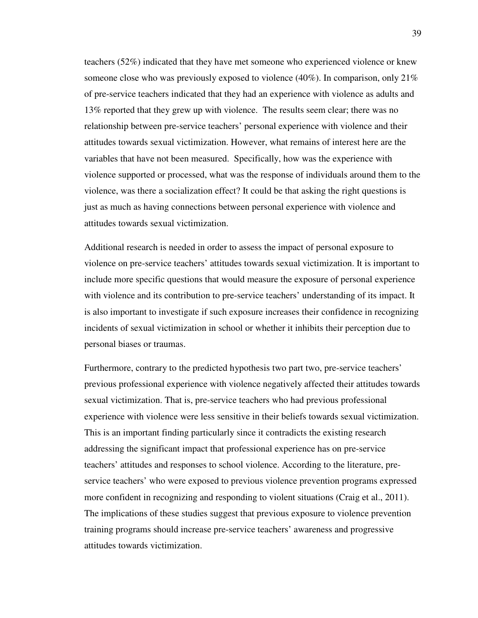teachers (52%) indicated that they have met someone who experienced violence or knew someone close who was previously exposed to violence (40%). In comparison, only  $21\%$ of pre-service teachers indicated that they had an experience with violence as adults and 13% reported that they grew up with violence. The results seem clear; there was no relationship between pre-service teachers' personal experience with violence and their attitudes towards sexual victimization. However, what remains of interest here are the variables that have not been measured. Specifically, how was the experience with violence supported or processed, what was the response of individuals around them to the violence, was there a socialization effect? It could be that asking the right questions is just as much as having connections between personal experience with violence and attitudes towards sexual victimization.

Additional research is needed in order to assess the impact of personal exposure to violence on pre-service teachers' attitudes towards sexual victimization. It is important to include more specific questions that would measure the exposure of personal experience with violence and its contribution to pre-service teachers' understanding of its impact. It is also important to investigate if such exposure increases their confidence in recognizing incidents of sexual victimization in school or whether it inhibits their perception due to personal biases or traumas.

Furthermore, contrary to the predicted hypothesis two part two, pre-service teachers' previous professional experience with violence negatively affected their attitudes towards sexual victimization. That is, pre-service teachers who had previous professional experience with violence were less sensitive in their beliefs towards sexual victimization. This is an important finding particularly since it contradicts the existing research addressing the significant impact that professional experience has on pre-service teachers' attitudes and responses to school violence. According to the literature, preservice teachers' who were exposed to previous violence prevention programs expressed more confident in recognizing and responding to violent situations (Craig et al., 2011). The implications of these studies suggest that previous exposure to violence prevention training programs should increase pre-service teachers' awareness and progressive attitudes towards victimization.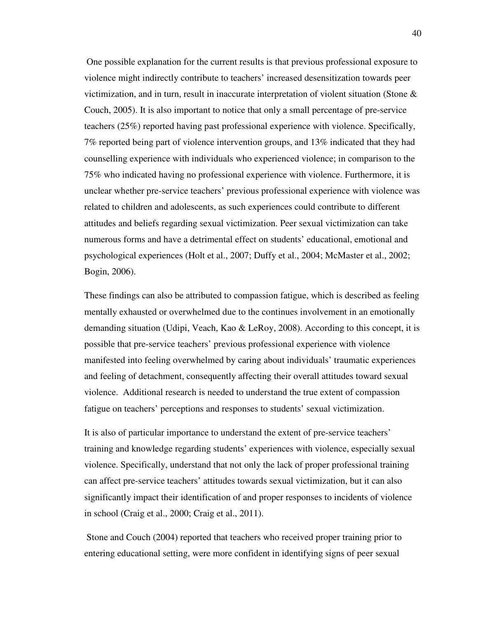One possible explanation for the current results is that previous professional exposure to violence might indirectly contribute to teachers' increased desensitization towards peer victimization, and in turn, result in inaccurate interpretation of violent situation (Stone & Couch, 2005). It is also important to notice that only a small percentage of pre-service teachers (25%) reported having past professional experience with violence. Specifically, 7% reported being part of violence intervention groups, and 13% indicated that they had counselling experience with individuals who experienced violence; in comparison to the 75% who indicated having no professional experience with violence. Furthermore, it is unclear whether pre-service teachers' previous professional experience with violence was related to children and adolescents, as such experiences could contribute to different attitudes and beliefs regarding sexual victimization. Peer sexual victimization can take numerous forms and have a detrimental effect on students' educational, emotional and psychological experiences (Holt et al., 2007; Duffy et al., 2004; McMaster et al., 2002; Bogin, 2006).

These findings can also be attributed to compassion fatigue, which is described as feeling mentally exhausted or overwhelmed due to the continues involvement in an emotionally demanding situation (Udipi, Veach, Kao & LeRoy, 2008). According to this concept, it is possible that pre-service teachers' previous professional experience with violence manifested into feeling overwhelmed by caring about individuals' traumatic experiences and feeling of detachment, consequently affecting their overall attitudes toward sexual violence. Additional research is needed to understand the true extent of compassion fatigue on teachers' perceptions and responses to students' sexual victimization.

It is also of particular importance to understand the extent of pre-service teachers' training and knowledge regarding students' experiences with violence, especially sexual violence. Specifically, understand that not only the lack of proper professional training can affect pre-service teachers' attitudes towards sexual victimization, but it can also significantly impact their identification of and proper responses to incidents of violence in school (Craig et al., 2000; Craig et al., 2011).

 Stone and Couch (2004) reported that teachers who received proper training prior to entering educational setting, were more confident in identifying signs of peer sexual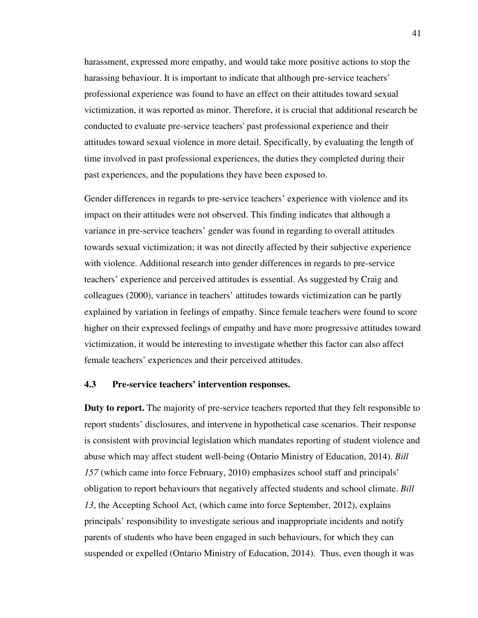harassment, expressed more empathy, and would take more positive actions to stop the harassing behaviour. It is important to indicate that although pre-service teachers' professional experience was found to have an effect on their attitudes toward sexual victimization, it was reported as minor. Therefore, it is crucial that additional research be conducted to evaluate pre-service teachers' past professional experience and their attitudes toward sexual violence in more detail. Specifically, by evaluating the length of time involved in past professional experiences, the duties they completed during their past experiences, and the populations they have been exposed to.

Gender differences in regards to pre-service teachers' experience with violence and its impact on their attitudes were not observed. This finding indicates that although a variance in pre-service teachers' gender was found in regarding to overall attitudes towards sexual victimization; it was not directly affected by their subjective experience with violence. Additional research into gender differences in regards to pre-service teachers' experience and perceived attitudes is essential. As suggested by Craig and colleagues (2000), variance in teachers' attitudes towards victimization can be partly explained by variation in feelings of empathy. Since female teachers were found to score higher on their expressed feelings of empathy and have more progressive attitudes toward victimization, it would be interesting to investigate whether this factor can also affect female teachers' experiences and their perceived attitudes.

## **4.3 Pre-service teachers' intervention responses.**

**Duty to report.** The majority of pre-service teachers reported that they felt responsible to report students' disclosures, and intervene in hypothetical case scenarios. Their response is consistent with provincial legislation which mandates reporting of student violence and abuse which may affect student well-being (Ontario Ministry of Education, 2014). *Bill 157* (which came into force February, 2010) emphasizes school staff and principals' obligation to report behaviours that negatively affected students and school climate. *Bill 13*, the Accepting School Act, (which came into force September, 2012), explains principals' responsibility to investigate serious and inappropriate incidents and notify parents of students who have been engaged in such behaviours, for which they can suspended or expelled (Ontario Ministry of Education, 2014). Thus, even though it was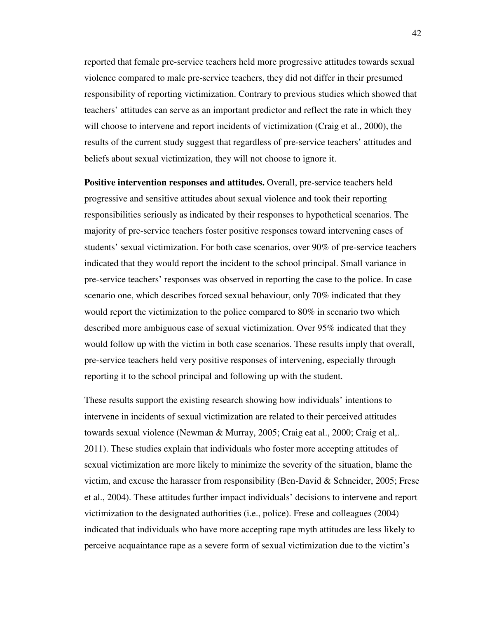reported that female pre-service teachers held more progressive attitudes towards sexual violence compared to male pre-service teachers, they did not differ in their presumed responsibility of reporting victimization. Contrary to previous studies which showed that teachers' attitudes can serve as an important predictor and reflect the rate in which they will choose to intervene and report incidents of victimization (Craig et al., 2000), the results of the current study suggest that regardless of pre-service teachers' attitudes and beliefs about sexual victimization, they will not choose to ignore it.

**Positive intervention responses and attitudes.** Overall, pre-service teachers held progressive and sensitive attitudes about sexual violence and took their reporting responsibilities seriously as indicated by their responses to hypothetical scenarios. The majority of pre-service teachers foster positive responses toward intervening cases of students' sexual victimization. For both case scenarios, over 90% of pre-service teachers indicated that they would report the incident to the school principal. Small variance in pre-service teachers' responses was observed in reporting the case to the police. In case scenario one, which describes forced sexual behaviour, only 70% indicated that they would report the victimization to the police compared to 80% in scenario two which described more ambiguous case of sexual victimization. Over 95% indicated that they would follow up with the victim in both case scenarios. These results imply that overall, pre-service teachers held very positive responses of intervening, especially through reporting it to the school principal and following up with the student.

These results support the existing research showing how individuals' intentions to intervene in incidents of sexual victimization are related to their perceived attitudes towards sexual violence (Newman & Murray, 2005; Craig eat al., 2000; Craig et al,. 2011). These studies explain that individuals who foster more accepting attitudes of sexual victimization are more likely to minimize the severity of the situation, blame the victim, and excuse the harasser from responsibility (Ben-David & Schneider, 2005; Frese et al., 2004). These attitudes further impact individuals' decisions to intervene and report victimization to the designated authorities (i.e., police). Frese and colleagues (2004) indicated that individuals who have more accepting rape myth attitudes are less likely to perceive acquaintance rape as a severe form of sexual victimization due to the victim's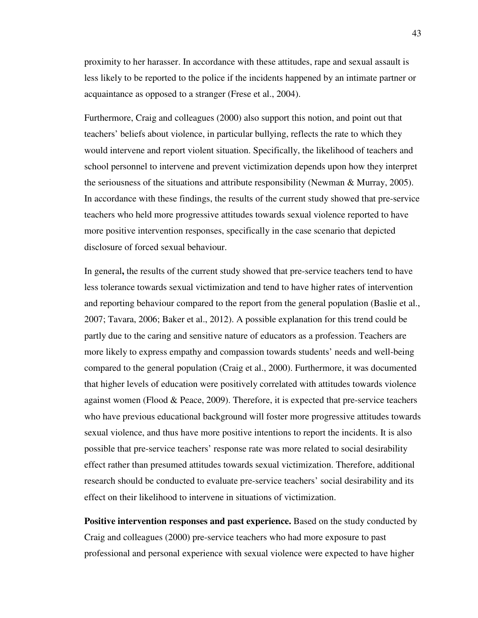proximity to her harasser. In accordance with these attitudes, rape and sexual assault is less likely to be reported to the police if the incidents happened by an intimate partner or acquaintance as opposed to a stranger (Frese et al., 2004).

Furthermore, Craig and colleagues (2000) also support this notion, and point out that teachers' beliefs about violence, in particular bullying, reflects the rate to which they would intervene and report violent situation. Specifically, the likelihood of teachers and school personnel to intervene and prevent victimization depends upon how they interpret the seriousness of the situations and attribute responsibility (Newman & Murray, 2005). In accordance with these findings, the results of the current study showed that pre-service teachers who held more progressive attitudes towards sexual violence reported to have more positive intervention responses, specifically in the case scenario that depicted disclosure of forced sexual behaviour.

In general**,** the results of the current study showed that pre-service teachers tend to have less tolerance towards sexual victimization and tend to have higher rates of intervention and reporting behaviour compared to the report from the general population (Baslie et al., 2007; Tavara, 2006; Baker et al., 2012). A possible explanation for this trend could be partly due to the caring and sensitive nature of educators as a profession. Teachers are more likely to express empathy and compassion towards students' needs and well-being compared to the general population (Craig et al., 2000). Furthermore, it was documented that higher levels of education were positively correlated with attitudes towards violence against women (Flood & Peace, 2009). Therefore, it is expected that pre-service teachers who have previous educational background will foster more progressive attitudes towards sexual violence, and thus have more positive intentions to report the incidents. It is also possible that pre-service teachers' response rate was more related to social desirability effect rather than presumed attitudes towards sexual victimization. Therefore, additional research should be conducted to evaluate pre-service teachers' social desirability and its effect on their likelihood to intervene in situations of victimization.

**Positive intervention responses and past experience.** Based on the study conducted by Craig and colleagues (2000) pre-service teachers who had more exposure to past professional and personal experience with sexual violence were expected to have higher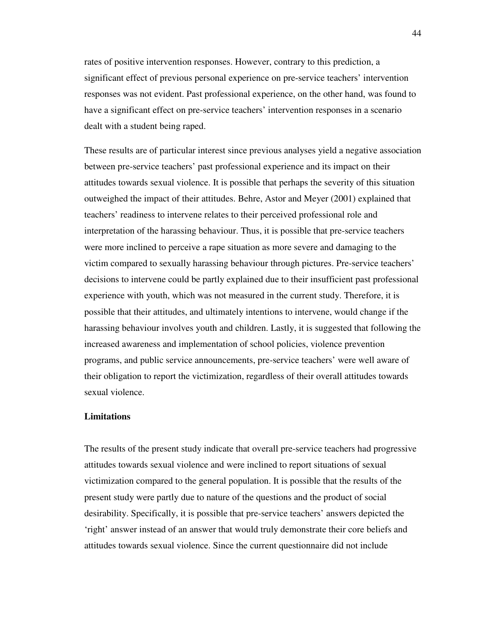rates of positive intervention responses. However, contrary to this prediction, a significant effect of previous personal experience on pre-service teachers' intervention responses was not evident. Past professional experience, on the other hand, was found to have a significant effect on pre-service teachers' intervention responses in a scenario dealt with a student being raped.

These results are of particular interest since previous analyses yield a negative association between pre-service teachers' past professional experience and its impact on their attitudes towards sexual violence. It is possible that perhaps the severity of this situation outweighed the impact of their attitudes. Behre, Astor and Meyer (2001) explained that teachers' readiness to intervene relates to their perceived professional role and interpretation of the harassing behaviour. Thus, it is possible that pre-service teachers were more inclined to perceive a rape situation as more severe and damaging to the victim compared to sexually harassing behaviour through pictures. Pre-service teachers' decisions to intervene could be partly explained due to their insufficient past professional experience with youth, which was not measured in the current study. Therefore, it is possible that their attitudes, and ultimately intentions to intervene, would change if the harassing behaviour involves youth and children. Lastly, it is suggested that following the increased awareness and implementation of school policies, violence prevention programs, and public service announcements, pre-service teachers' were well aware of their obligation to report the victimization, regardless of their overall attitudes towards sexual violence.

#### **Limitations**

The results of the present study indicate that overall pre-service teachers had progressive attitudes towards sexual violence and were inclined to report situations of sexual victimization compared to the general population. It is possible that the results of the present study were partly due to nature of the questions and the product of social desirability. Specifically, it is possible that pre-service teachers' answers depicted the 'right' answer instead of an answer that would truly demonstrate their core beliefs and attitudes towards sexual violence. Since the current questionnaire did not include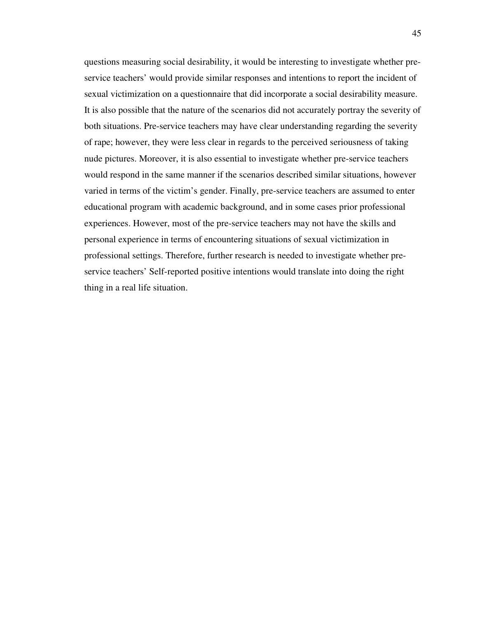questions measuring social desirability, it would be interesting to investigate whether preservice teachers' would provide similar responses and intentions to report the incident of sexual victimization on a questionnaire that did incorporate a social desirability measure. It is also possible that the nature of the scenarios did not accurately portray the severity of both situations. Pre-service teachers may have clear understanding regarding the severity of rape; however, they were less clear in regards to the perceived seriousness of taking nude pictures. Moreover, it is also essential to investigate whether pre-service teachers would respond in the same manner if the scenarios described similar situations, however varied in terms of the victim's gender. Finally, pre-service teachers are assumed to enter educational program with academic background, and in some cases prior professional experiences. However, most of the pre-service teachers may not have the skills and personal experience in terms of encountering situations of sexual victimization in professional settings. Therefore, further research is needed to investigate whether preservice teachers' Self-reported positive intentions would translate into doing the right thing in a real life situation.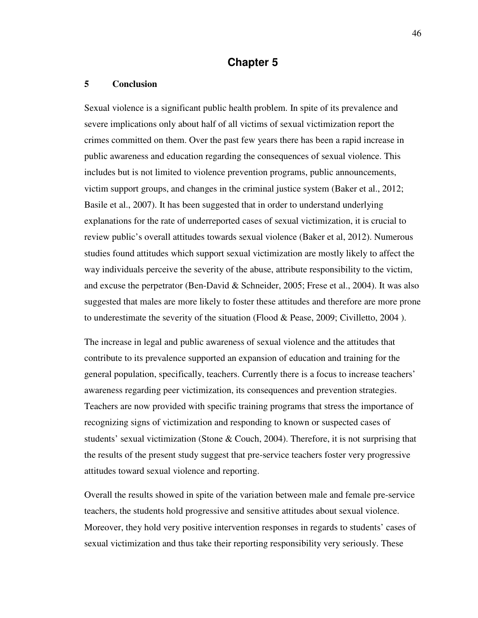## **Chapter 5**

#### **5 Conclusion**

Sexual violence is a significant public health problem. In spite of its prevalence and severe implications only about half of all victims of sexual victimization report the crimes committed on them. Over the past few years there has been a rapid increase in public awareness and education regarding the consequences of sexual violence. This includes but is not limited to violence prevention programs, public announcements, victim support groups, and changes in the criminal justice system (Baker et al., 2012; Basile et al., 2007). It has been suggested that in order to understand underlying explanations for the rate of underreported cases of sexual victimization, it is crucial to review public's overall attitudes towards sexual violence (Baker et al, 2012). Numerous studies found attitudes which support sexual victimization are mostly likely to affect the way individuals perceive the severity of the abuse, attribute responsibility to the victim, and excuse the perpetrator (Ben-David & Schneider, 2005; Frese et al., 2004). It was also suggested that males are more likely to foster these attitudes and therefore are more prone to underestimate the severity of the situation (Flood & Pease, 2009; Civilletto, 2004 ).

The increase in legal and public awareness of sexual violence and the attitudes that contribute to its prevalence supported an expansion of education and training for the general population, specifically, teachers. Currently there is a focus to increase teachers' awareness regarding peer victimization, its consequences and prevention strategies. Teachers are now provided with specific training programs that stress the importance of recognizing signs of victimization and responding to known or suspected cases of students' sexual victimization (Stone  $&$  Couch, 2004). Therefore, it is not surprising that the results of the present study suggest that pre-service teachers foster very progressive attitudes toward sexual violence and reporting.

Overall the results showed in spite of the variation between male and female pre-service teachers, the students hold progressive and sensitive attitudes about sexual violence. Moreover, they hold very positive intervention responses in regards to students' cases of sexual victimization and thus take their reporting responsibility very seriously. These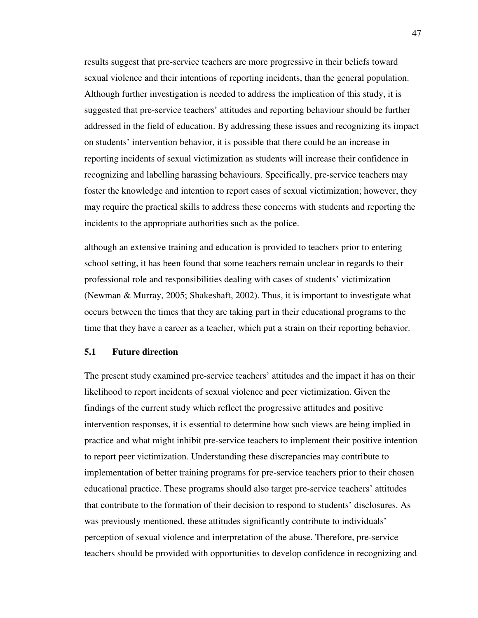results suggest that pre-service teachers are more progressive in their beliefs toward sexual violence and their intentions of reporting incidents, than the general population. Although further investigation is needed to address the implication of this study, it is suggested that pre-service teachers' attitudes and reporting behaviour should be further addressed in the field of education. By addressing these issues and recognizing its impact on students' intervention behavior, it is possible that there could be an increase in reporting incidents of sexual victimization as students will increase their confidence in recognizing and labelling harassing behaviours. Specifically, pre-service teachers may foster the knowledge and intention to report cases of sexual victimization; however, they may require the practical skills to address these concerns with students and reporting the incidents to the appropriate authorities such as the police.

although an extensive training and education is provided to teachers prior to entering school setting, it has been found that some teachers remain unclear in regards to their professional role and responsibilities dealing with cases of students' victimization (Newman & Murray, 2005; Shakeshaft, 2002). Thus, it is important to investigate what occurs between the times that they are taking part in their educational programs to the time that they have a career as a teacher, which put a strain on their reporting behavior.

## **5.1 Future direction**

The present study examined pre-service teachers' attitudes and the impact it has on their likelihood to report incidents of sexual violence and peer victimization. Given the findings of the current study which reflect the progressive attitudes and positive intervention responses, it is essential to determine how such views are being implied in practice and what might inhibit pre-service teachers to implement their positive intention to report peer victimization. Understanding these discrepancies may contribute to implementation of better training programs for pre-service teachers prior to their chosen educational practice. These programs should also target pre-service teachers' attitudes that contribute to the formation of their decision to respond to students' disclosures. As was previously mentioned, these attitudes significantly contribute to individuals' perception of sexual violence and interpretation of the abuse. Therefore, pre-service teachers should be provided with opportunities to develop confidence in recognizing and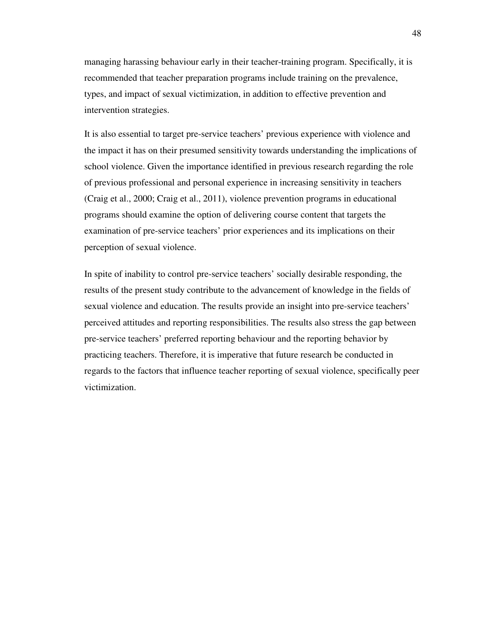managing harassing behaviour early in their teacher-training program. Specifically, it is recommended that teacher preparation programs include training on the prevalence, types, and impact of sexual victimization, in addition to effective prevention and intervention strategies.

It is also essential to target pre-service teachers' previous experience with violence and the impact it has on their presumed sensitivity towards understanding the implications of school violence. Given the importance identified in previous research regarding the role of previous professional and personal experience in increasing sensitivity in teachers (Craig et al., 2000; Craig et al., 2011), violence prevention programs in educational programs should examine the option of delivering course content that targets the examination of pre-service teachers' prior experiences and its implications on their perception of sexual violence.

In spite of inability to control pre-service teachers' socially desirable responding, the results of the present study contribute to the advancement of knowledge in the fields of sexual violence and education. The results provide an insight into pre-service teachers' perceived attitudes and reporting responsibilities. The results also stress the gap between pre-service teachers' preferred reporting behaviour and the reporting behavior by practicing teachers. Therefore, it is imperative that future research be conducted in regards to the factors that influence teacher reporting of sexual violence, specifically peer victimization.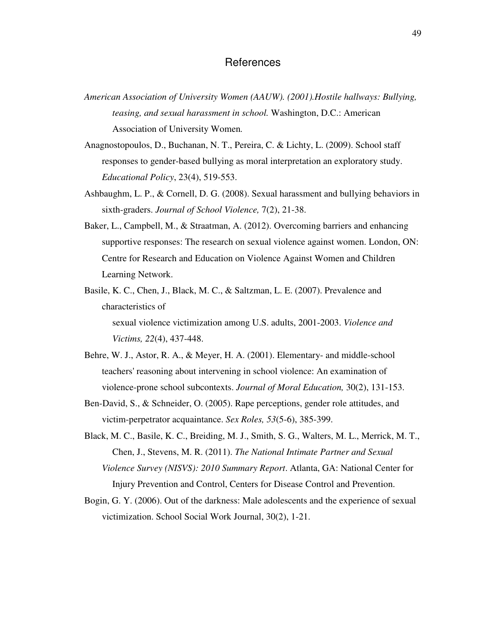## **References**

- *American Association of University Women (AAUW). (2001).Hostile hallways: Bullying, teasing, and sexual harassment in school.* Washington, D.C.: American Association of University Women*.*
- Anagnostopoulos, D., Buchanan, N. T., Pereira, C. & Lichty, L. (2009). School staff responses to gender-based bullying as moral interpretation an exploratory study. *Educational Policy*, 23(4), 519-553.
- Ashbaughm, L. P., & Cornell, D. G. (2008). Sexual harassment and bullying behaviors in sixth-graders. *Journal of School Violence,* 7(2), 21-38.
- Baker, L., Campbell, M., & Straatman, A. (2012). Overcoming barriers and enhancing supportive responses: The research on sexual violence against women. London, ON: Centre for Research and Education on Violence Against Women and Children Learning Network.
- Basile, K. C., Chen, J., Black, M. C., & Saltzman, L. E. (2007). Prevalence and characteristics of sexual violence victimization among U.S. adults, 2001-2003. *Violence and Victims, 22*(4), 437-448.
- Behre, W. J., Astor, R. A., & Meyer, H. A. (2001). Elementary- and middle-school teachers' reasoning about intervening in school violence: An examination of violence-prone school subcontexts. *Journal of Moral Education,* 30(2), 131-153.
- Ben-David, S., & Schneider, O. (2005). Rape perceptions, gender role attitudes, and victim-perpetrator acquaintance. *Sex Roles, 53*(5-6), 385-399.
- Black, M. C., Basile, K. C., Breiding, M. J., Smith, S. G., Walters, M. L., Merrick, M. T., Chen, J., Stevens, M. R. (2011). *The National Intimate Partner and Sexual Violence Survey (NISVS): 2010 Summary Report*. Atlanta, GA: National Center for Injury Prevention and Control, Centers for Disease Control and Prevention.
- Bogin, G. Y. (2006). Out of the darkness: Male adolescents and the experience of sexual victimization. School Social Work Journal, 30(2), 1-21.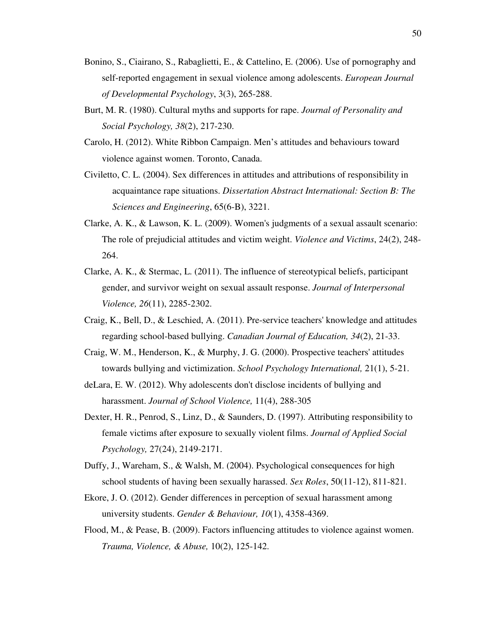- Bonino, S., Ciairano, S., Rabaglietti, E., & Cattelino, E. (2006). Use of pornography and self-reported engagement in sexual violence among adolescents. *European Journal of Developmental Psychology*, 3(3), 265-288.
- Burt, M. R. (1980). Cultural myths and supports for rape. *Journal of Personality and Social Psychology, 38*(2), 217-230.
- Carolo, H. (2012). White Ribbon Campaign. Men's attitudes and behaviours toward violence against women. Toronto, Canada.
- Civiletto, C. L. (2004). Sex differences in attitudes and attributions of responsibility in acquaintance rape situations. *Dissertation Abstract International: Section B: The Sciences and Engineering*, 65(6-B), 3221.
- Clarke, A. K., & Lawson, K. L. (2009). Women's judgments of a sexual assault scenario: The role of prejudicial attitudes and victim weight. *Violence and Victims*, 24(2), 248- 264.
- Clarke, A. K., & Stermac, L. (2011). The influence of stereotypical beliefs, participant gender, and survivor weight on sexual assault response. *Journal of Interpersonal Violence, 26*(11), 2285-2302.
- Craig, K., Bell, D., & Leschied, A. (2011). Pre-service teachers' knowledge and attitudes regarding school-based bullying. *Canadian Journal of Education, 34*(2), 21-33.
- Craig, W. M., Henderson, K., & Murphy, J. G. (2000). Prospective teachers' attitudes towards bullying and victimization. *School Psychology International,* 21(1), 5-21.
- deLara, E. W. (2012). Why adolescents don't disclose incidents of bullying and harassment. *Journal of School Violence,* 11(4), 288-305
- Dexter, H. R., Penrod, S., Linz, D., & Saunders, D. (1997). Attributing responsibility to female victims after exposure to sexually violent films. *Journal of Applied Social Psychology,* 27(24), 2149-2171.
- Duffy, J., Wareham, S., & Walsh, M. (2004). Psychological consequences for high school students of having been sexually harassed. *Sex Roles*, 50(11-12), 811-821.
- Ekore, J. O. (2012). Gender differences in perception of sexual harassment among university students. *Gender & Behaviour, 10*(1), 4358-4369.
- Flood, M., & Pease, B. (2009). Factors influencing attitudes to violence against women. *Trauma, Violence, & Abuse,* 10(2), 125-142.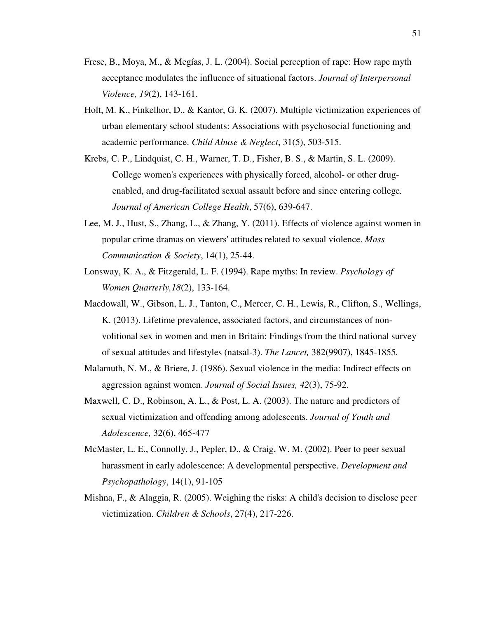- Frese, B., Moya, M., & Megías, J. L. (2004). Social perception of rape: How rape myth acceptance modulates the influence of situational factors. *Journal of Interpersonal Violence, 19*(2), 143-161.
- Holt, M. K., Finkelhor, D., & Kantor, G. K. (2007). Multiple victimization experiences of urban elementary school students: Associations with psychosocial functioning and academic performance. *Child Abuse & Neglect*, 31(5), 503-515.
- Krebs, C. P., Lindquist, C. H., Warner, T. D., Fisher, B. S., & Martin, S. L. (2009). College women's experiences with physically forced, alcohol- or other drugenabled, and drug-facilitated sexual assault before and since entering college*. Journal of American College Health*, 57(6), 639-647.
- Lee, M. J., Hust, S., Zhang, L., & Zhang, Y. (2011). Effects of violence against women in popular crime dramas on viewers' attitudes related to sexual violence. *Mass Communication & Society*, 14(1), 25-44.
- Lonsway, K. A., & Fitzgerald, L. F. (1994). Rape myths: In review. *Psychology of Women Quarterly,18*(2), 133-164.
- Macdowall, W., Gibson, L. J., Tanton, C., Mercer, C. H., Lewis, R., Clifton, S., Wellings, K. (2013). Lifetime prevalence, associated factors, and circumstances of nonvolitional sex in women and men in Britain: Findings from the third national survey of sexual attitudes and lifestyles (natsal-3). *The Lancet,* 382(9907), 1845-1855*.*
- Malamuth, N. M., & Briere, J. (1986). Sexual violence in the media: Indirect effects on aggression against women. *Journal of Social Issues, 42*(3), 75-92.
- Maxwell, C. D., Robinson, A. L., & Post, L. A. (2003). The nature and predictors of sexual victimization and offending among adolescents. *Journal of Youth and Adolescence,* 32(6), 465-477
- McMaster, L. E., Connolly, J., Pepler, D., & Craig, W. M. (2002). Peer to peer sexual harassment in early adolescence: A developmental perspective. *Development and Psychopathology*, 14(1), 91-105
- Mishna, F., & Alaggia, R. (2005). Weighing the risks: A child's decision to disclose peer victimization. *Children & Schools*, 27(4), 217-226.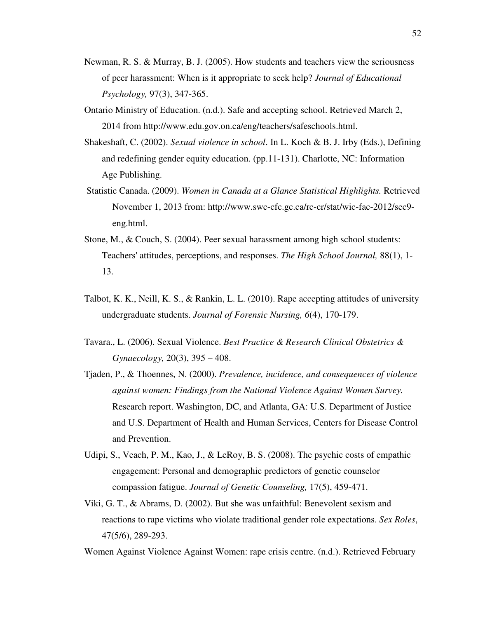- Newman, R. S. & Murray, B. J. (2005). How students and teachers view the seriousness of peer harassment: When is it appropriate to seek help? *Journal of Educational Psychology,* 97(3), 347-365.
- Ontario Ministry of Education. (n.d.). Safe and accepting school. Retrieved March 2, 2014 from http://www.edu.gov.on.ca/eng/teachers/safeschools.html.
- Shakeshaft, C. (2002). *Sexual violence in school*. In L. Koch & B. J. Irby (Eds.), Defining and redefining gender equity education. (pp.11-131). Charlotte, NC: Information Age Publishing.
- Statistic Canada. (2009). *Women in Canada at a Glance Statistical Highlights.* Retrieved November 1, 2013 from: http://www.swc-cfc.gc.ca/rc-cr/stat/wic-fac-2012/sec9 eng.html.
- Stone, M., & Couch, S. (2004). Peer sexual harassment among high school students: Teachers' attitudes, perceptions, and responses. *The High School Journal,* 88(1), 1- 13.
- Talbot, K. K., Neill, K. S., & Rankin, L. L. (2010). Rape accepting attitudes of university undergraduate students. *Journal of Forensic Nursing, 6*(4), 170-179.
- Tavara., L. (2006). Sexual Violence. *Best Practice & Research Clinical Obstetrics & Gynaecology,* 20(3), 395 – 408.
- Tjaden, P., & Thoennes, N. (2000). *Prevalence, incidence, and consequences of violence against women: Findings from the National Violence Against Women Survey.*  Research report. Washington, DC, and Atlanta, GA: U.S. Department of Justice and U.S. Department of Health and Human Services, Centers for Disease Control and Prevention.
- Udipi, S., Veach, P. M., Kao, J., & LeRoy, B. S. (2008). The psychic costs of empathic engagement: Personal and demographic predictors of genetic counselor compassion fatigue. *Journal of Genetic Counseling,* 17(5), 459-471.
- Viki, G. T., & Abrams, D. (2002). But she was unfaithful: Benevolent sexism and reactions to rape victims who violate traditional gender role expectations. *Sex Roles*, 47(5/6), 289-293.

Women Against Violence Against Women: rape crisis centre. (n.d.). Retrieved February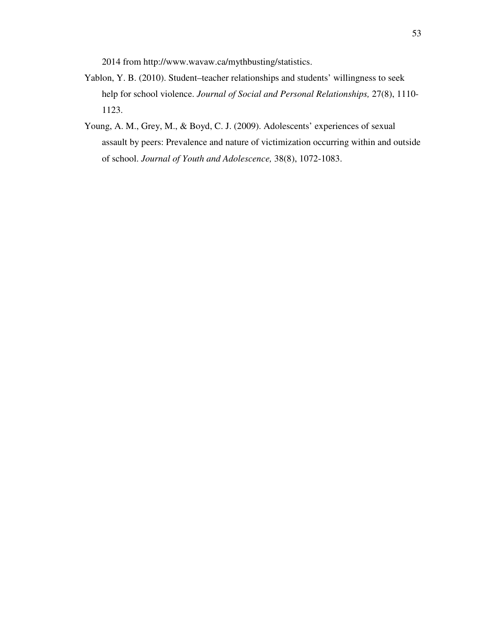2014 from http://www.wavaw.ca/mythbusting/statistics.

- Yablon, Y. B. (2010). Student–teacher relationships and students' willingness to seek help for school violence. *Journal of Social and Personal Relationships,* 27(8), 1110- 1123.
- Young, A. M., Grey, M., & Boyd, C. J. (2009). Adolescents' experiences of sexual assault by peers: Prevalence and nature of victimization occurring within and outside of school. *Journal of Youth and Adolescence,* 38(8), 1072-1083.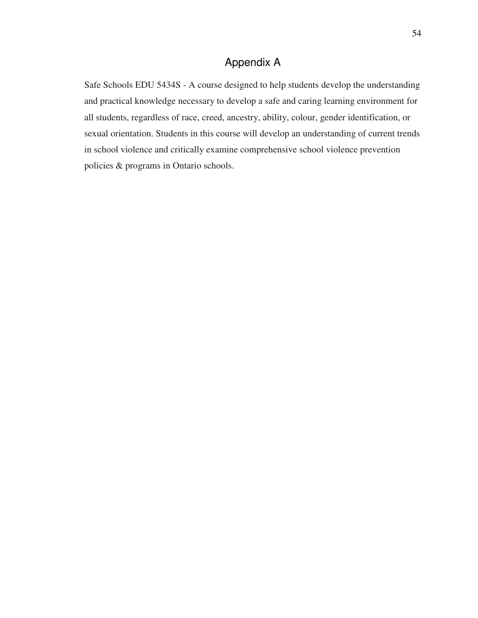# Appendix A

Safe Schools EDU 5434S - A course designed to help students develop the understanding and practical knowledge necessary to develop a safe and caring learning environment for all students, regardless of race, creed, ancestry, ability, colour, gender identification, or sexual orientation. Students in this course will develop an understanding of current trends in school violence and critically examine comprehensive school violence prevention policies & programs in Ontario schools.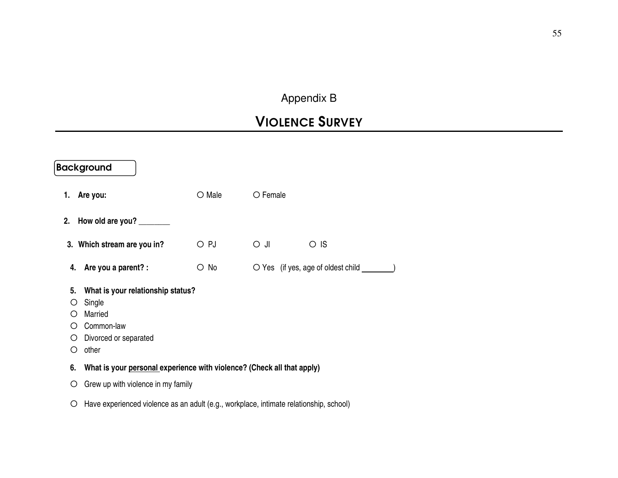# Appendix B

# VIOLENCE SURVEY

|                             | <b>Background</b>                                                                                                     |                 |                                    |  |  |  |
|-----------------------------|-----------------------------------------------------------------------------------------------------------------------|-----------------|------------------------------------|--|--|--|
| 1.                          | Are you:                                                                                                              | $\bigcirc$ Male | $\bigcirc$ Female                  |  |  |  |
| 2.                          | How old are you? ________                                                                                             |                 |                                    |  |  |  |
|                             | 3. Which stream are you in?                                                                                           | O PJ            | $\cup$ $\cup$<br>$\circ$ IS        |  |  |  |
|                             | 4. Are you a parent? :                                                                                                | $\circ$ No      | O Yes (if yes, age of oldest child |  |  |  |
| 5.<br>$\left( \right)$<br>O | What is your relationship status?<br>Single<br>Ő<br>Married<br>Common-law<br>Ω<br>Divorced or separated<br>Ő<br>other |                 |                                    |  |  |  |
| 6.                          | What is your personal experience with violence? (Check all that apply)                                                |                 |                                    |  |  |  |
| Ő                           | Grew up with violence in my family                                                                                    |                 |                                    |  |  |  |
|                             | Have experienced violence as an adult (e.g., workplace, intimate relationship, school)                                |                 |                                    |  |  |  |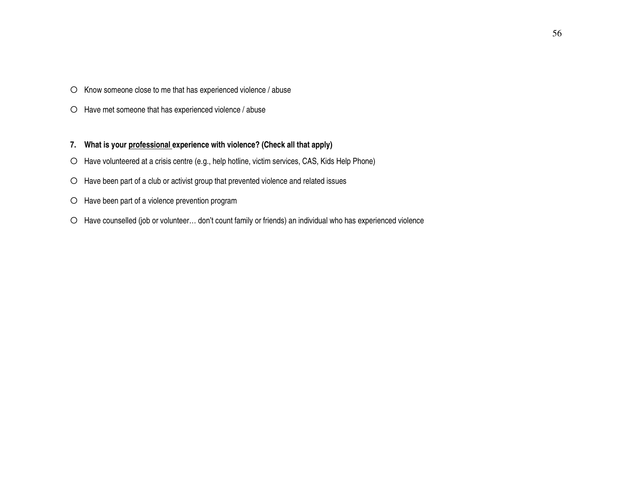- О Know someone close to me that has experienced violence / abuse
- О Have met someone that has experienced violence / abuse
- **7. What is your professional experience with violence? (Check all that apply)**
- О Have volunteered at a crisis centre (e.g., help hotline, victim services, CAS, Kids Help Phone)
- О Have been part of a club or activist group that prevented violence and related issues
- О Have been part of a violence prevention program
- О Have counselled (job or volunteer… don't count family or friends) an individual who has experienced violence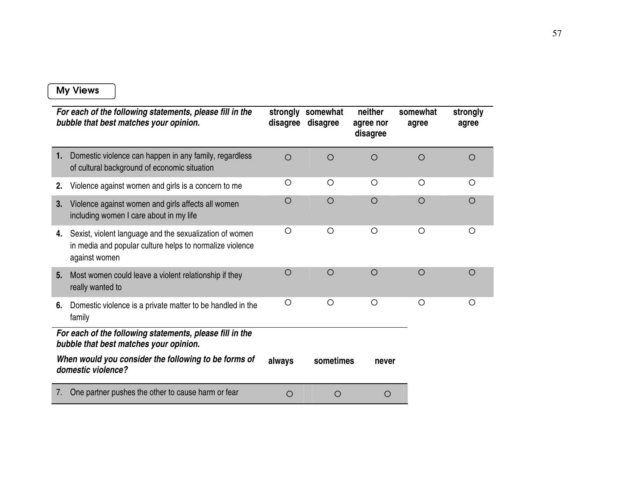## My Views

|                                                                                                    | For each of the following statements, please fill in the<br>bubble that best matches your opinion.                                   | strongly<br>disagree | somewhat<br>disagree | neither<br>agree nor<br>disagree | somewhat<br>agree | strongly<br>agree |
|----------------------------------------------------------------------------------------------------|--------------------------------------------------------------------------------------------------------------------------------------|----------------------|----------------------|----------------------------------|-------------------|-------------------|
| 1.                                                                                                 | Domestic violence can happen in any family, regardless<br>of cultural background of economic situation                               | $\circ$              | $\bigcirc$           | O                                | O                 | $\bigcirc$        |
| 2.                                                                                                 | Violence against women and girls is a concern to me                                                                                  | $\circ$              | $\circ$              | O                                | O                 | O                 |
| 3.                                                                                                 | Violence against women and girls affects all women<br>including women I care about in my life                                        | $\circ$              | $\circ$              | $\circ$                          | $\circ$           | $\bigcirc$        |
| 4.                                                                                                 | Sexist, violent language and the sexualization of women<br>in media and popular culture helps to normalize violence<br>against women | $\circ$              | $\circ$              | $\circ$                          | $\circ$           | O                 |
| 5.                                                                                                 | Most women could leave a violent relationship if they<br>really wanted to                                                            | $\bigcirc$           | $\circ$              | $\circ$                          | $\circ$           | $\bigcirc$        |
| 6.                                                                                                 | Domestic violence is a private matter to be handled in the<br>family                                                                 | $\circ$              | O                    | $\circ$                          | O                 | ∩                 |
| For each of the following statements, please fill in the<br>bubble that best matches your opinion. |                                                                                                                                      |                      |                      |                                  |                   |                   |
|                                                                                                    | When would you consider the following to be forms of<br>domestic violence?                                                           | always               | sometimes            | never                            |                   |                   |
| 7.                                                                                                 | One partner pushes the other to cause harm or fear                                                                                   | $\circ$              | O                    | O                                |                   |                   |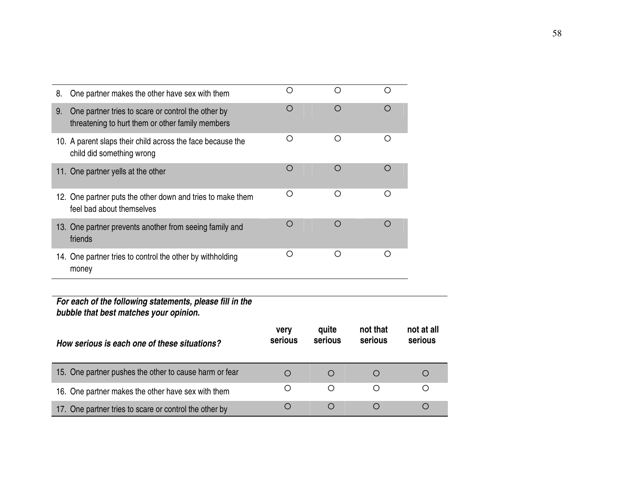| 8. | One partner makes the other have sex with them                                                         | О               | $\circ$          | $\circ$             |                       |
|----|--------------------------------------------------------------------------------------------------------|-----------------|------------------|---------------------|-----------------------|
| 9. | One partner tries to scare or control the other by<br>threatening to hurt them or other family members | $\bigcirc$      | $\circ$          | $\circ$             |                       |
|    | 10. A parent slaps their child across the face because the<br>child did something wrong                | O               | O                | O                   |                       |
|    | 11. One partner yells at the other                                                                     | Ο               | $\circ$          | $\circ$             |                       |
|    | 12. One partner puts the other down and tries to make them<br>feel bad about themselves                | О               | $\circ$          | $\bigcirc$          |                       |
|    | 13. One partner prevents another from seeing family and<br>friends                                     | O               | $\circ$          | $\circ$             |                       |
|    | 14. One partner tries to control the other by withholding<br>money                                     | О               | $\circ$          | $\circ$             |                       |
|    |                                                                                                        |                 |                  |                     |                       |
|    | For each of the following statements, please fill in the<br>bubble that best matches your opinion.     |                 |                  |                     |                       |
|    | How serious is each one of these situations?                                                           | very<br>serious | quite<br>serious | not that<br>serious | not at all<br>serious |
|    | 15. One partner pushes the other to cause harm or fear                                                 | $\circ$         | $\bigcirc$       | $\circ$             | O                     |
|    | 16. One partner makes the other have sex with them                                                     | O               | Ο                | O                   | $\circ$               |
|    | 17. One partner tries to scare or control the other by                                                 | $\circ$         | $\circ$          | O                   | O                     |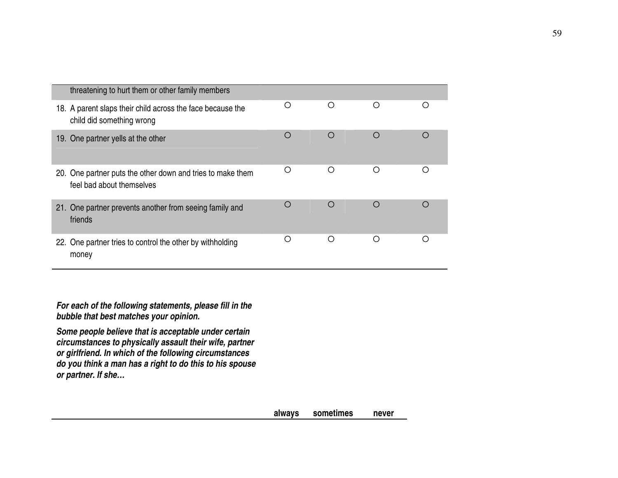| threatening to hurt them or other family members                                        |   |            |            |   |
|-----------------------------------------------------------------------------------------|---|------------|------------|---|
| 18. A parent slaps their child across the face because the<br>child did something wrong | ∩ | ◯          | O          |   |
| 19. One partner yells at the other                                                      | O | ◯          | $\bigcirc$ |   |
| 20. One partner puts the other down and tries to make them<br>feel bad about themselves | Ω | Ω          | O          | ∩ |
| 21. One partner prevents another from seeing family and<br>friends                      | ∩ | $\bigcirc$ | $\bigcirc$ |   |
| 22. One partner tries to control the other by withholding<br>money                      | ∩ | ∩          | ◯          |   |

**For each of the following statements, please fill in the bubble that best matches your opinion.** 

**Some people believe that is acceptable under certain circumstances to physically assault their wife, partner or girlfriend. In which of the following circumstances do you think a man has a right to do this to his spouse or partner. If she…**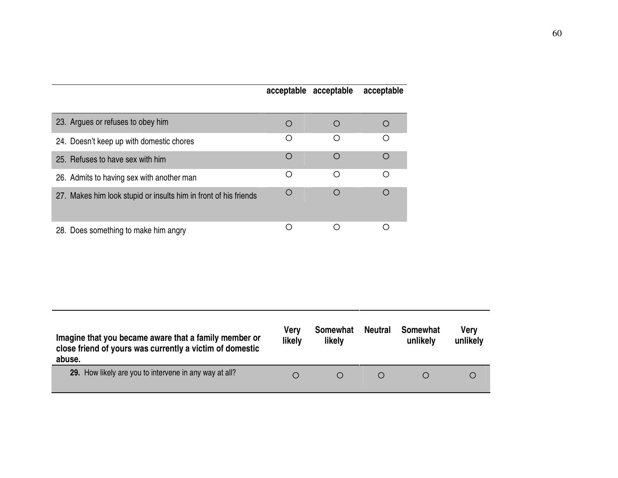| acceptable acceptable |  | acceptable |
|-----------------------|--|------------|
|-----------------------|--|------------|

| 23. Argues or refuses to obey him                                |   |            |           |
|------------------------------------------------------------------|---|------------|-----------|
| 24. Doesn't keep up with domestic chores                         |   | ◯          | ∩         |
| 25. Refuses to have sex with him                                 |   | $\bigcap$  | ∩         |
| 26. Admits to having sex with another man                        | ◯ | ◯          | ◯         |
| 27. Makes him look stupid or insults him in front of his friends |   | $\bigcirc$ | $\bigcap$ |
| 28. Does something to make him angry                             |   |            |           |

| Imagine that you became aware that a family member or<br>close friend of yours was currently a victim of domestic<br>abuse. | Verv<br>likely | Somewhat<br>likely | <b>Neutral</b> | Somewhat<br>unlikely | <b>Verv</b><br>unlikely |
|-----------------------------------------------------------------------------------------------------------------------------|----------------|--------------------|----------------|----------------------|-------------------------|
| 29. How likely are you to intervene in any way at all?                                                                      | O              |                    |                |                      | Ő                       |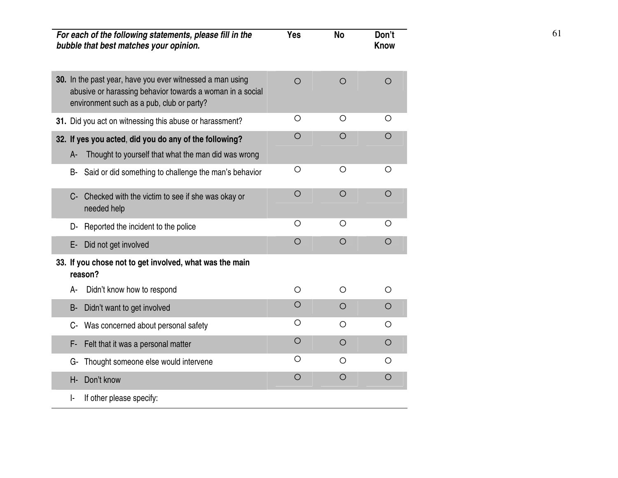| For each of the following statements, please fill in the<br>bubble that best matches your opinion.                                                                  | <b>Yes</b> | <b>No</b>  | Don't<br><b>Know</b> | 61 |
|---------------------------------------------------------------------------------------------------------------------------------------------------------------------|------------|------------|----------------------|----|
| 30. In the past year, have you ever witnessed a man using<br>abusive or harassing behavior towards a woman in a social<br>environment such as a pub, club or party? | $\circ$    | $\circ$    | $\circ$              |    |
| 31. Did you act on witnessing this abuse or harassment?                                                                                                             | $\circ$    | $\circ$    | $\circ$              |    |
| 32. If yes you acted, did you do any of the following?<br>Thought to yourself that what the man did was wrong<br>A-                                                 | $\circ$    | $\circ$    | $\circ$              |    |
| Said or did something to challenge the man's behavior<br>B-                                                                                                         | $\circ$    | $\circ$    | $\circ$              |    |
| Checked with the victim to see if she was okay or<br>$C -$<br>needed help                                                                                           | $\circ$    | $\circ$    | $\circ$              |    |
| Reported the incident to the police<br>D-                                                                                                                           | $\circ$    | $\bigcirc$ | $\circ$              |    |
| Did not get involved<br>E-                                                                                                                                          | $\circ$    | $\circ$    | $\circ$              |    |
| 33. If you chose not to get involved, what was the main<br>reason?                                                                                                  |            |            |                      |    |
| Didn't know how to respond<br>A-                                                                                                                                    | $\circ$    | $\circ$    | $\circ$              |    |
| Didn't want to get involved<br><b>B-</b>                                                                                                                            | $\circ$    | $\circ$    | $\circ$              |    |
| Was concerned about personal safety<br>C-                                                                                                                           | $\circ$    | $\circ$    | $\circ$              |    |
| Felt that it was a personal matter<br>F-                                                                                                                            | $\circ$    | $\circ$    | $\circ$              |    |
| Thought someone else would intervene<br>G-                                                                                                                          | $\circ$    | $\circ$    | $\circ$              |    |
| Don't know<br>H-                                                                                                                                                    | $\circ$    | $\bigcirc$ | $\circ$              |    |
| If other please specify:<br>ŀ.                                                                                                                                      |            |            |                      |    |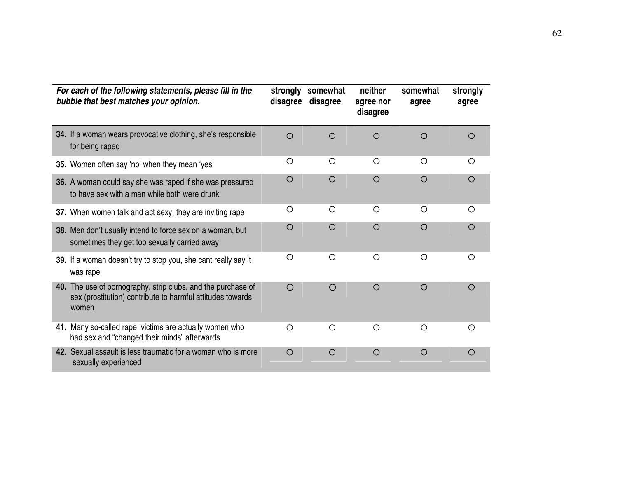| For each of the following statements, please fill in the<br>bubble that best matches your opinion.                                  | strongly<br>disagree | somewhat<br>disagree | neither<br>agree nor<br>disagree | somewhat<br>agree | strongly<br>agree |
|-------------------------------------------------------------------------------------------------------------------------------------|----------------------|----------------------|----------------------------------|-------------------|-------------------|
| 34. If a woman wears provocative clothing, she's responsible<br>for being raped                                                     | $\circ$              | $\bigcirc$           | ◯                                | ∩                 | $\bigcirc$        |
| 35. Women often say 'no' when they mean 'yes'                                                                                       | O                    | $\bigcirc$           | $\bigcirc$                       | $\bigcirc$        | $\bigcirc$        |
| 36. A woman could say she was raped if she was pressured<br>to have sex with a man while both were drunk                            | $\circ$              | $\circ$              | $\circ$                          | $\circ$           | $\bigcirc$        |
| 37. When women talk and act sexy, they are inviting rape                                                                            | O                    | $\bigcirc$           | $\bigcirc$                       | $\bigcirc$        | $\bigcirc$        |
| 38. Men don't usually intend to force sex on a woman, but<br>sometimes they get too sexually carried away                           | $\bigcirc$           | $\bigcirc$           | $\bigcirc$                       | $\bigcirc$        | $\bigcirc$        |
| 39. If a woman doesn't try to stop you, she cant really say it<br>was rape                                                          | O                    | $\bigcirc$           | $\bigcirc$                       | $\bigcirc$        | $\bigcirc$        |
| 40. The use of pornography, strip clubs, and the purchase of<br>sex (prostitution) contribute to harmful attitudes towards<br>women | $\bigcirc$           | $\bigcirc$           | $\bigcirc$                       | $\bigcirc$        | $\bigcirc$        |
| 41. Many so-called rape victims are actually women who<br>had sex and "changed their minds" afterwards                              | $\bigcirc$           | $\bigcirc$           | $\circ$                          | $\circ$           | $\bigcirc$        |
| 42. Sexual assault is less traumatic for a woman who is more<br>sexually experienced                                                | $\bigcirc$           | $\bigcirc$           | $\bigcirc$                       | $\bigcirc$        | $\bigcirc$        |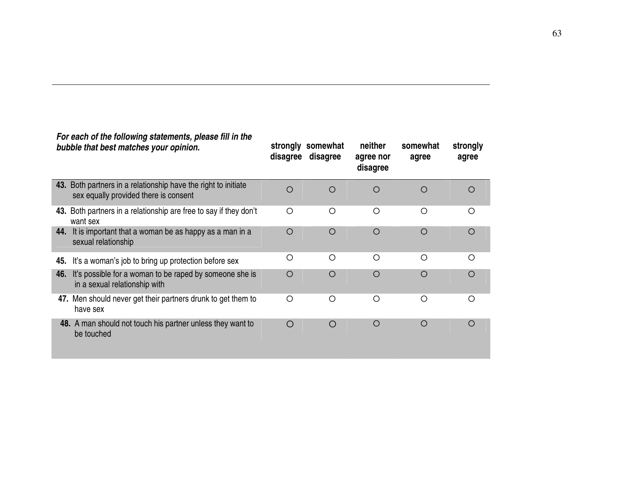|     | For each of the following statements, please fill in the<br>bubble that best matches your opinion.      | strongly<br>disagree | somewhat<br>disagree | neither<br>agree nor<br>disagree | somewhat<br>agree | strongly<br>agree |
|-----|---------------------------------------------------------------------------------------------------------|----------------------|----------------------|----------------------------------|-------------------|-------------------|
|     | 43. Both partners in a relationship have the right to initiate<br>sex equally provided there is consent | $\circ$              | $\circ$              | $\bigcirc$                       | $\circ$           | $\bigcirc$        |
|     | 43. Both partners in a relationship are free to say if they don't<br>want sex                           | O                    | O                    | O                                | O                 | $\circ$           |
| 44. | It is important that a woman be as happy as a man in a<br>sexual relationship                           | $\circ$              | $\circ$              | $\bigcirc$                       | $\circ$           | $\circ$           |
| 45. | It's a woman's job to bring up protection before sex                                                    | $\circ$              | O                    | O                                | O                 | O                 |
| 46. | It's possible for a woman to be raped by someone she is<br>in a sexual relationship with                | $\circ$              | $\circ$              | $\bigcirc$                       | $\circ$           | $\bigcirc$        |
|     | 47. Men should never get their partners drunk to get them to<br>have sex                                | $\circ$              | O                    | Ω                                | O                 | Ω                 |
|     | 48. A man should not touch his partner unless they want to<br>be touched                                | O                    | $\bigcirc$           | $\circ$                          | $\circ$           | $\bigcirc$        |

63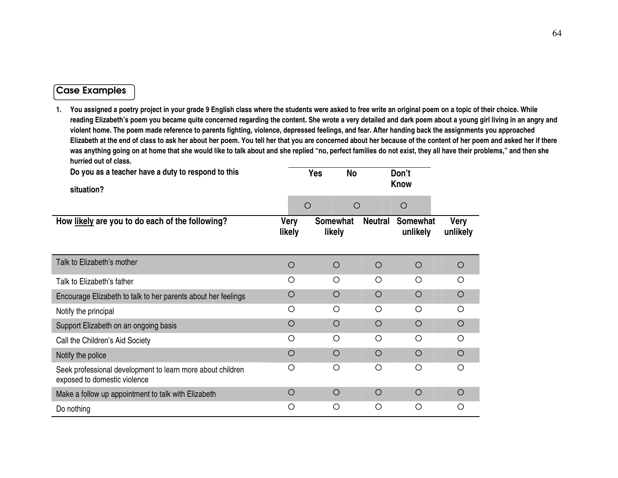# Case Examples

| Do you as a teacher have a duty to respond to this<br>situation?                           |                       | <b>Yes</b><br><b>No</b> |                | Don't<br><b>Know</b>        |                         |
|--------------------------------------------------------------------------------------------|-----------------------|-------------------------|----------------|-----------------------------|-------------------------|
|                                                                                            |                       | $\circ$<br>$\circ$      |                | $\circ$                     |                         |
| How likely are you to do each of the following?                                            | <b>Very</b><br>likely | Somewhat<br>likely      | <b>Neutral</b> | <b>Somewhat</b><br>unlikely | <b>Very</b><br>unlikely |
| Talk to Elizabeth's mother                                                                 | $\circ$               | $\circ$                 | $\circ$        | $\circ$                     | $\circ$                 |
| Talk to Elizabeth's father                                                                 | O                     | $\circ$                 | O              | $\circ$                     | $\circ$                 |
| Encourage Elizabeth to talk to her parents about her feelings                              | $\circ$               | $\circ$                 | $\circ$        | $\circ$                     | $\circ$                 |
| Notify the principal                                                                       | O                     | $\circ$                 | $\circ$        | $\circ$                     | $\circ$                 |
| Support Elizabeth on an ongoing basis                                                      | $\circ$               | $\circ$                 | $\circ$        | $\circ$                     | $\circ$                 |
| Call the Children's Aid Society                                                            | $\circ$               | $\circ$                 | $\circ$        | $\circ$                     | $\circ$                 |
| Notify the police                                                                          | $\circ$               | $\circ$                 | $\circ$        | $\circ$                     | $\circ$                 |
| Seek professional development to learn more about children<br>exposed to domestic violence | $\circ$               | $\circ$                 | $\bigcirc$     | $\bigcirc$                  | $\circ$                 |
| Make a follow up appointment to talk with Elizabeth                                        | $\circ$               | $\circ$                 | $\circ$        | $\circ$                     | $\circ$                 |
| Do nothing                                                                                 | O                     | $\circ$                 | $\circ$        | $\circ$                     | O                       |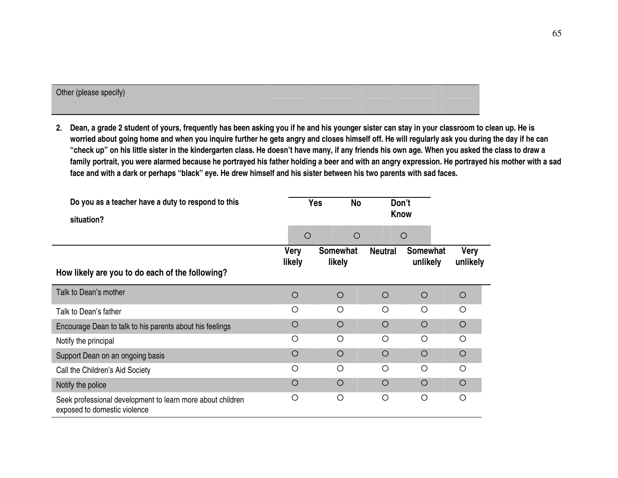| Other (please specify) |  |  |  |
|------------------------|--|--|--|
|                        |  |  |  |

**2. Dean, a grade 2 student of yours, frequently has been asking you if he and his younger sister can stay in your classroom to clean up. He is worried about going home and when you inquire further he gets angry and closes himself off. He will regularly ask you during the day if he can "check up" on his little sister in the kindergarten class. He doesn't have many, if any friends his own age. When you asked the class to draw a family portrait, you were alarmed because he portrayed his father holding a beer and with an angry expression. He portrayed his mother with a sad face and with a dark or perhaps "black" eye. He drew himself and his sister between his two parents with sad faces.** 

| Do you as a teacher have a duty to respond to this<br>situation?                           |                       | <b>Yes</b><br><b>No</b>   | Don't<br><b>Know</b> |                             |                         |
|--------------------------------------------------------------------------------------------|-----------------------|---------------------------|----------------------|-----------------------------|-------------------------|
|                                                                                            | $\circ$               | $\circ$                   |                      | O                           |                         |
| How likely are you to do each of the following?                                            | <b>Very</b><br>likely | <b>Somewhat</b><br>likely | <b>Neutral</b>       | <b>Somewhat</b><br>unlikely | <b>Very</b><br>unlikely |
| Talk to Dean's mother                                                                      | O                     | $\circ$                   | $\circ$              | O                           | $\circ$                 |
| Talk to Dean's father                                                                      | Ω                     | $\bigcirc$                | $\bigcirc$           | $\bigcirc$                  | $\bigcirc$              |
| Encourage Dean to talk to his parents about his feelings                                   | O                     | $\circ$                   | $\circ$              | O                           | $\circ$                 |
| Notify the principal                                                                       | O                     | O                         | $\circ$              | $\bigcirc$                  | $\bigcirc$              |
| Support Dean on an ongoing basis                                                           | O                     | $\circ$                   | $\circ$              | $\bigcirc$                  | $\circ$                 |
| Call the Children's Aid Society                                                            | O                     | O                         | O                    | O                           | $\circ$                 |
| Notify the police                                                                          | $\circ$               | $\circ$                   | $\circ$              | $\bigcirc$                  | $\circ$                 |
| Seek professional development to learn more about children<br>exposed to domestic violence | O                     | O                         | O                    | O                           | O                       |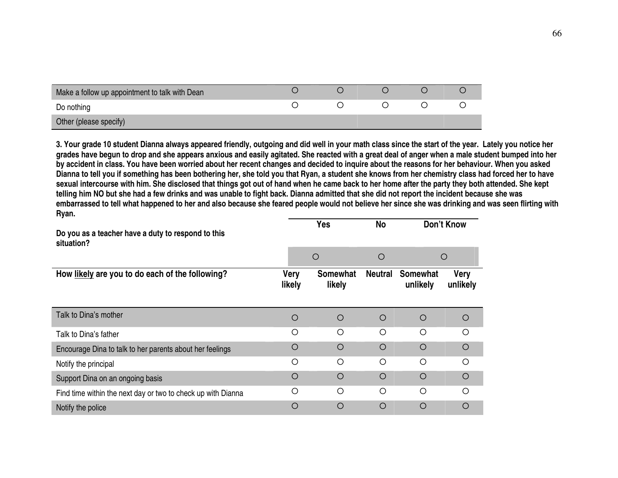| Make a follow up appointment to talk with Dean |  |  |  |
|------------------------------------------------|--|--|--|
| Do nothing                                     |  |  |  |
| Other (please specify)                         |  |  |  |

**3. Your grade 10 student Dianna always appeared friendly, outgoing and did well in your math class since the start of the year. Lately you notice her grades have begun to drop and she appears anxious and easily agitated. She reacted with a great deal of anger when a male student bumped into her by accident in class. You have been worried about her recent changes and decided to inquire about the reasons for her behaviour. When you asked Dianna to tell you if something has been bothering her, she told you that Ryan, a student she knows from her chemistry class had forced her to have sexual intercourse with him. She disclosed that things got out of hand when he came back to her home after the party they both attended. She kept telling him NO but she had a few drinks and was unable to fight back. Dianna admitted that she did not report the incident because she was embarrassed to tell what happened to her and also because she feared people would not believe her since she was drinking and was seen flirting with Ryan.** 

| Do you as a teacher have a duty to respond to this<br>situation? |                       | <b>Yes</b>                |                | Don't Know                  |                         |
|------------------------------------------------------------------|-----------------------|---------------------------|----------------|-----------------------------|-------------------------|
|                                                                  | $\circ$               |                           | $\circ$        | $\circ$                     |                         |
| How likely are you to do each of the following?                  | <b>Very</b><br>likely | <b>Somewhat</b><br>likely | <b>Neutral</b> | <b>Somewhat</b><br>unlikely | <b>Very</b><br>unlikely |
| Talk to Dina's mother                                            | O                     | $\circ$                   | $\circ$        | $\circ$                     | O                       |
| Talk to Dina's father                                            | ◯                     | ◯                         | Ω              | Ω                           | ∩                       |
| Encourage Dina to talk to her parents about her feelings         | $\bigcirc$            | $\bigcirc$                | $\bigcirc$     | $\bigcirc$                  | $\bigcirc$              |
| Notify the principal                                             | $\bigcirc$            | $\bigcirc$                | $\bigcirc$     | $\bigcirc$                  | ◯                       |
| Support Dina on an ongoing basis                                 | $\bigcirc$            | $\bigcirc$                | $\circ$        | $\circ$                     | $\circ$                 |
| Find time within the next day or two to check up with Dianna     | $\bigcirc$            | $\circ$                   | O              | O                           | Ω                       |
| Notify the police                                                | O                     | $\circ$                   | O              | O                           | O                       |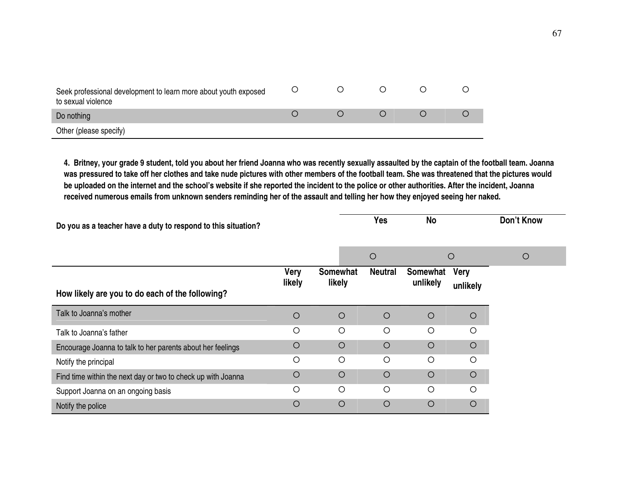| Seek professional development to learn more about youth exposed<br>to sexual violence |  |  |  |
|---------------------------------------------------------------------------------------|--|--|--|
| Do nothing                                                                            |  |  |  |
| Other (please specify)                                                                |  |  |  |

**4. Britney, your grade 9 student, told you about her friend Joanna who was recently sexually assaulted by the captain of the football team. Joanna was pressured to take off her clothes and take nude pictures with other members of the football team. She was threatened that the pictures would be uploaded on the internet and the school's website if she reported the incident to the police or other authorities. After the incident, Joanna received numerous emails from unknown senders reminding her of the assault and telling her how they enjoyed seeing her naked.** 

| Do you as a teacher have a duty to respond to this situation? |                       |                           | <b>Yes</b>     | <b>No</b>            |                         | Don't Know |
|---------------------------------------------------------------|-----------------------|---------------------------|----------------|----------------------|-------------------------|------------|
|                                                               |                       |                           | $\circ$        |                      | $\circ$                 | $\circ$    |
| How likely are you to do each of the following?               | <b>Very</b><br>likely | <b>Somewhat</b><br>likely | <b>Neutral</b> | Somewhat<br>unlikely | <b>Very</b><br>unlikely |            |
| Talk to Joanna's mother                                       | $\circ$               | $\circ$                   | $\circ$        | $\circ$              | $\circ$                 |            |
| Talk to Joanna's father                                       | Ο                     | $\circ$                   | $\circ$        | $\circ$              | $\circ$                 |            |
| Encourage Joanna to talk to her parents about her feelings    | $\circ$               | $\circ$                   | $\circ$        | O                    | $\circ$                 |            |
| Notify the principal                                          | O                     | $\circ$                   | $\circ$        | $\circ$              | $\bigcirc$              |            |
| Find time within the next day or two to check up with Joanna  | $\circ$               | $\circ$                   | $\circ$        | $\circ$              | $\circ$                 |            |
| Support Joanna on an ongoing basis                            | О                     | $\circ$                   | $\circ$        | $\circ$              | $\circ$                 |            |
| Notify the police                                             | $\circ$               | $\circ$                   | $\circ$        | $\bigcirc$           | $\circ$                 |            |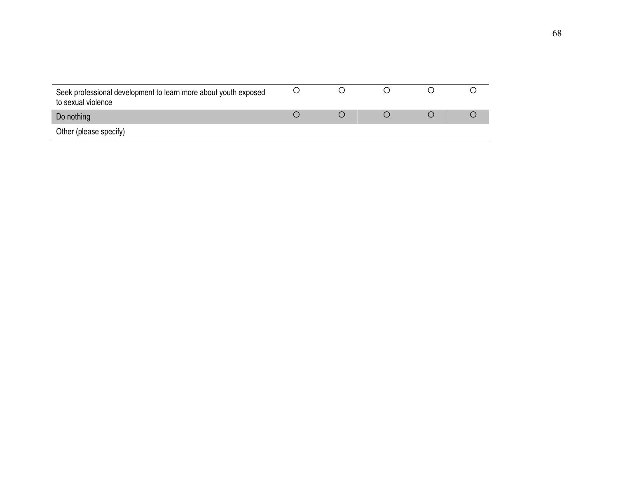| Seek professional development to learn more about youth exposed<br>to sexual violence |  |  |  |
|---------------------------------------------------------------------------------------|--|--|--|
| Do nothing                                                                            |  |  |  |
| Other (please specify)                                                                |  |  |  |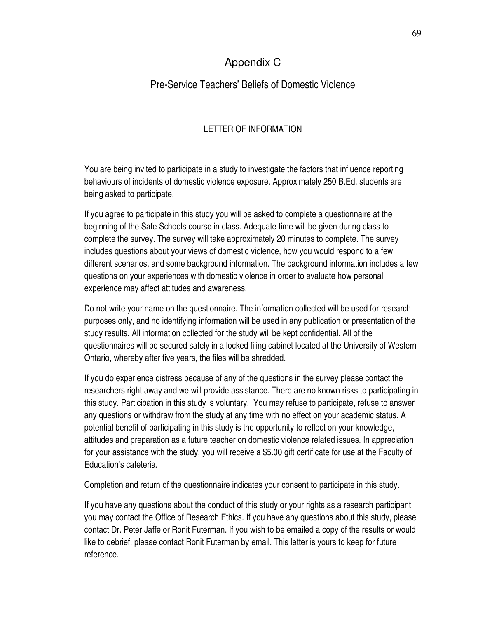## Appendix C

## Pre-Service Teachers' Beliefs of Domestic Violence

## LETTER OF INFORMATION

You are being invited to participate in a study to investigate the factors that influence reporting behaviours of incidents of domestic violence exposure. Approximately 250 B.Ed. students are being asked to participate.

If you agree to participate in this study you will be asked to complete a questionnaire at the beginning of the Safe Schools course in class. Adequate time will be given during class to complete the survey. The survey will take approximately 20 minutes to complete. The survey includes questions about your views of domestic violence, how you would respond to a few different scenarios, and some background information. The background information includes a few questions on your experiences with domestic violence in order to evaluate how personal experience may affect attitudes and awareness.

Do not write your name on the questionnaire. The information collected will be used for research purposes only, and no identifying information will be used in any publication or presentation of the study results. All information collected for the study will be kept confidential. All of the questionnaires will be secured safely in a locked filing cabinet located at the University of Western Ontario, whereby after five years, the files will be shredded.

If you do experience distress because of any of the questions in the survey please contact the researchers right away and we will provide assistance. There are no known risks to participating in this study. Participation in this study is voluntary. You may refuse to participate, refuse to answer any questions or withdraw from the study at any time with no effect on your academic status. A potential benefit of participating in this study is the opportunity to reflect on your knowledge, attitudes and preparation as a future teacher on domestic violence related issues. In appreciation for your assistance with the study, you will receive a \$5.00 gift certificate for use at the Faculty of Education's cafeteria.

Completion and return of the questionnaire indicates your consent to participate in this study.

If you have any questions about the conduct of this study or your rights as a research participant you may contact the Office of Research Ethics. If you have any questions about this study, please contact Dr. Peter Jaffe or Ronit Futerman. If you wish to be emailed a copy of the results or would like to debrief, please contact Ronit Futerman by email. This letter is yours to keep for future reference.